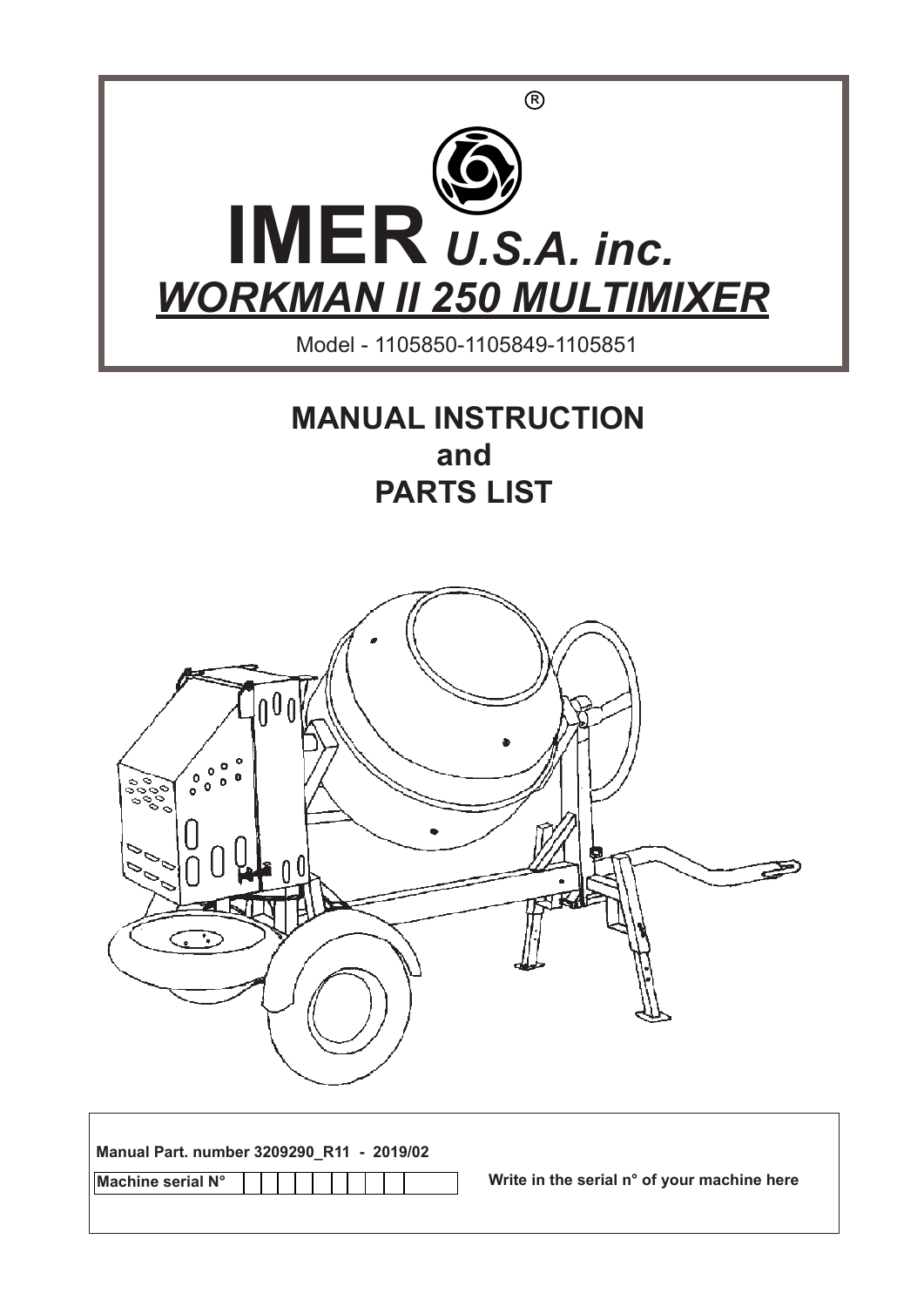

## **MANUAL INSTRUCTION and PARTS LIST**



| Manual Part. number 3209290_R11 - 2019/02 |                                             |
|-------------------------------------------|---------------------------------------------|
| Machine serial N°                         | Write in the serial n° of your machine here |
|                                           |                                             |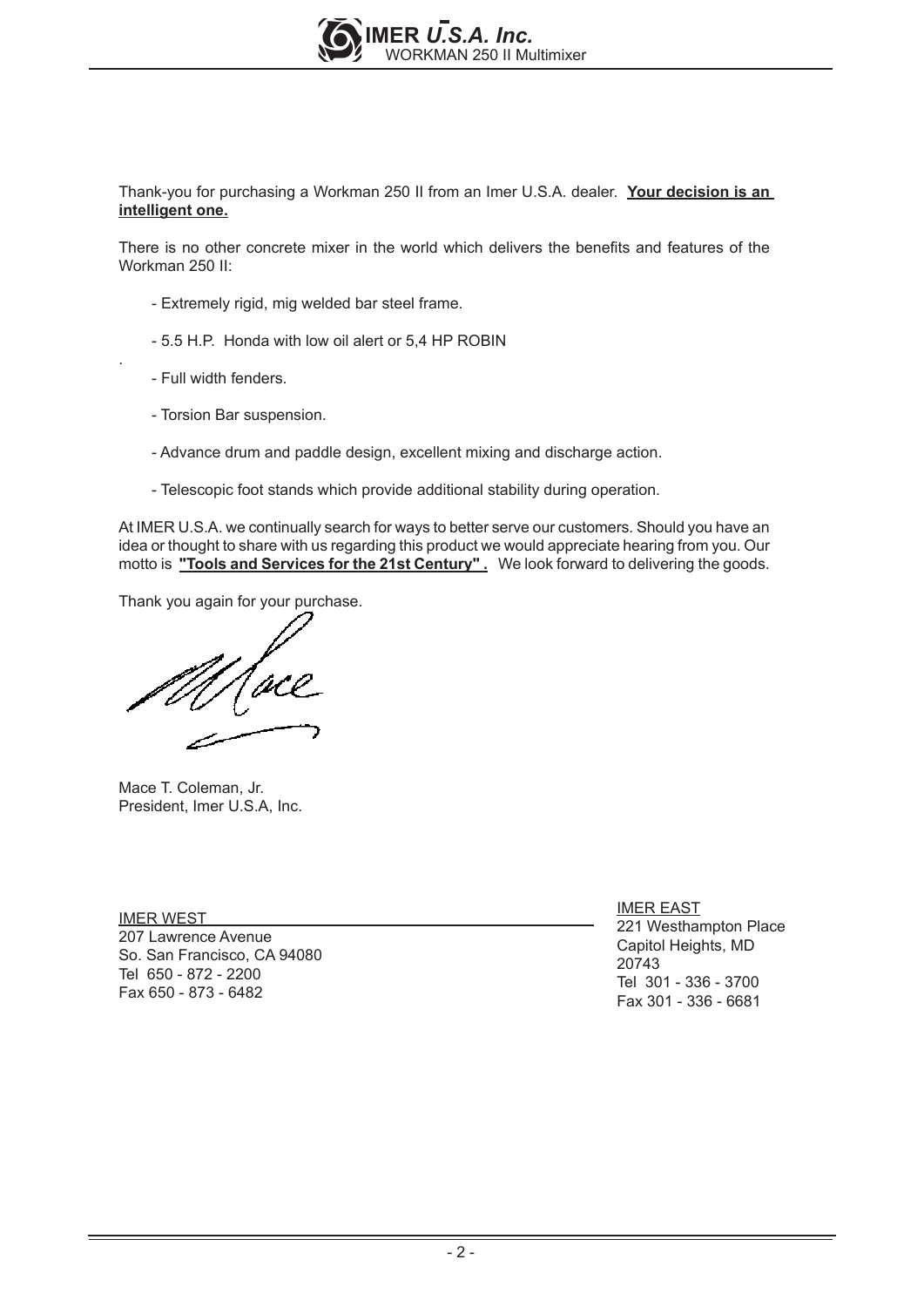

Thank-you for purchasing a Workman 250 II from an Imer U.S.A. dealer. **Your decision is an intelligent one.**

There is no other concrete mixer in the world which delivers the benefits and features of the Workman 250 II:

- Extremely rigid, mig welded bar steel frame.
- 5.5 H.P. Honda with low oil alert or 5,4 HP ROBIN
- Full width fenders.

.

- Torsion Bar suspension.
- Advance drum and paddle design, excellent mixing and discharge action.
- Telescopic foot stands which provide additional stability during operation.

At IMER U.S.A. we continually search for ways to better serve our customers. Should you have an idea or thought to share with us regarding this product we would appreciate hearing from you. Our motto is **"Tools and Services for the 21st Century" .** We look forward to delivering the goods.

Thank you again for your purchase.

Mace T. Coleman, Jr. President, Imer U.S.A, Inc.

IMER WEST 207 Lawrence Avenue So. San Francisco, CA 94080 Tel 650 - 872 - 2200 Fax 650 - 873 - 6482

IMER EAST 221 Westhampton Place Capitol Heights, MD 20743 Tel 301 - 336 - 3700 Fax 301 - 336 - 6681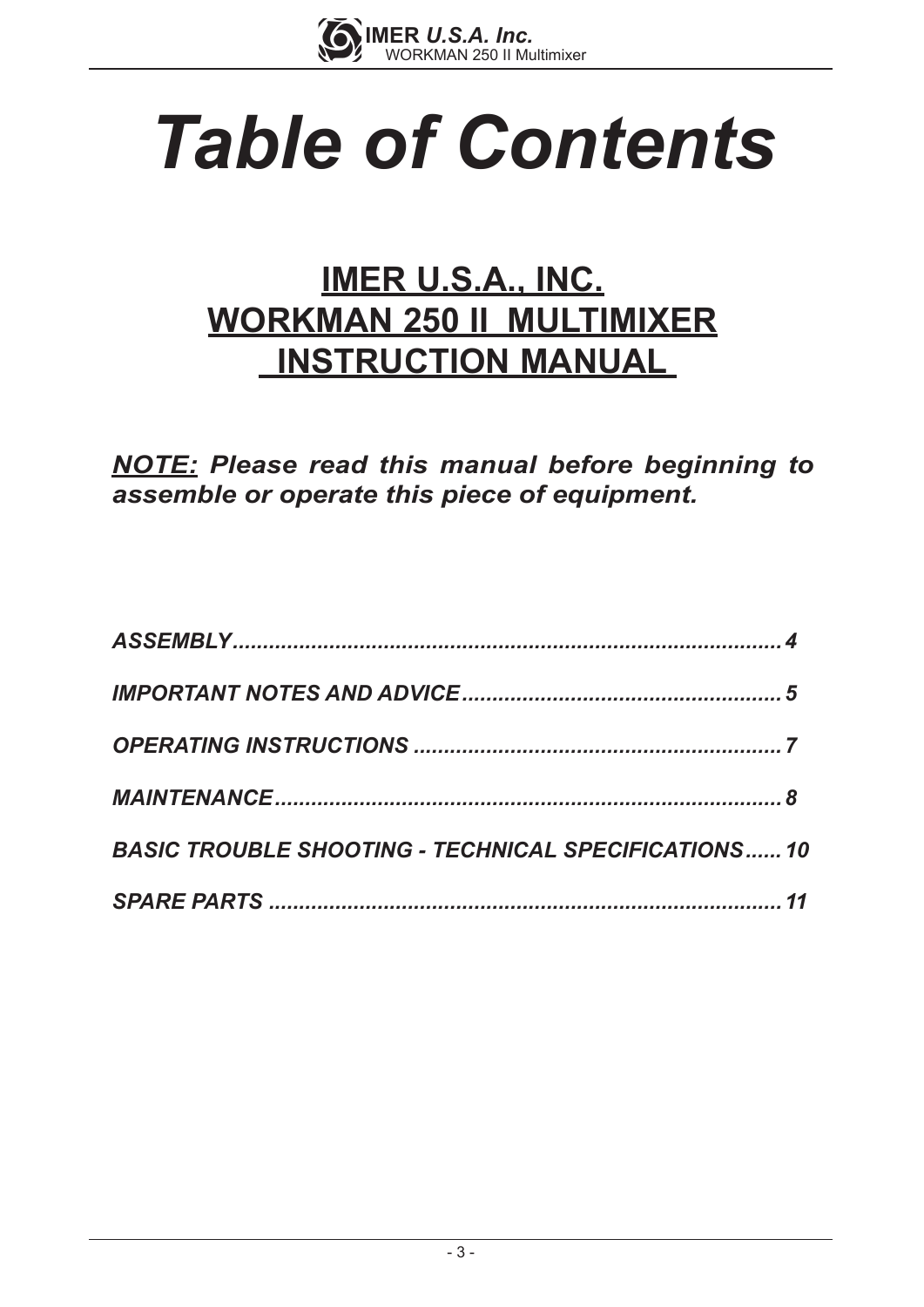

# *Table of Contents*

# **IMER U.S.A., INC. WORKMAN 250 II MULTIMIXER INSTRUCTION MANUAL**

*NOTE: Please read this manual before beginning to assemble or operate this piece of equipment.*

| <b>BASIC TROUBLE SHOOTING - TECHNICAL SPECIFICATIONS 10</b> |  |
|-------------------------------------------------------------|--|
|                                                             |  |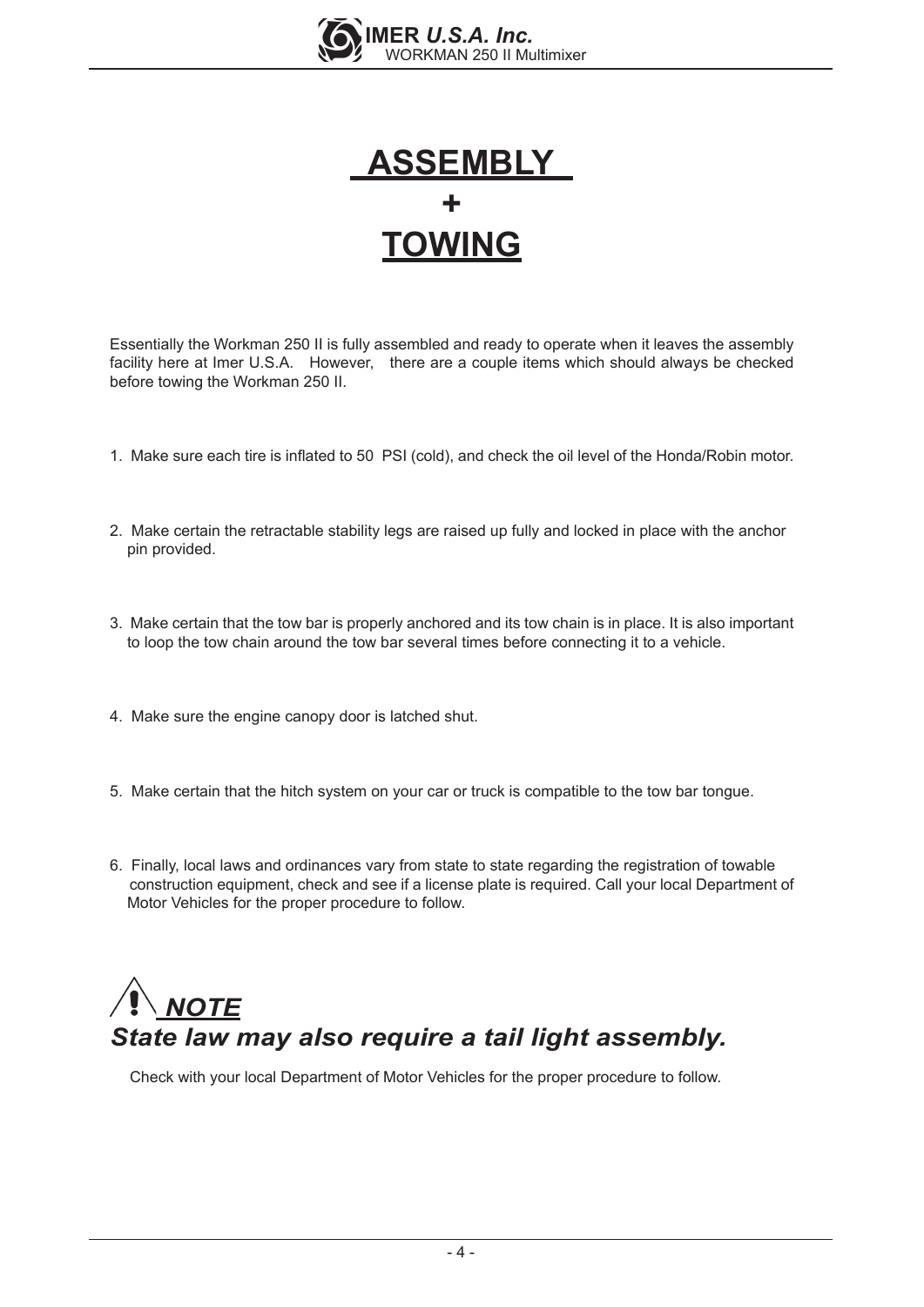



Essentially the Workman 250 II is fully assembled and ready to operate when it leaves the assembly facility here at Imer U.S.A. However, there are a couple items which should always be checked before towing the Workman 250 II.

- 1. Make sure each tire is inflated to 50 PSI (cold), and check the oil level of the Honda/Robin motor.
- 2. Make certain the retractable stability legs are raised up fully and locked in place with the anchor pin provided.
- 3. Make certain that the tow bar is properly anchored and its tow chain is in place. It is also important to loop the tow chain around the tow bar several times before connecting it to a vehicle.
- 4. Make sure the engine canopy door is latched shut.
- 5. Make certain that the hitch system on your car or truck is compatible to the tow bar tongue.
- 6. Finally, local laws and ordinances vary from state to state regarding the registration of towable construction equipment, check and see if a license plate is required. Call your local Department of Motor Vehicles for the proper procedure to follow.

## *NOTE State law may also require a tail light assembly.*

Check with your local Department of Motor Vehicles for the proper procedure to follow.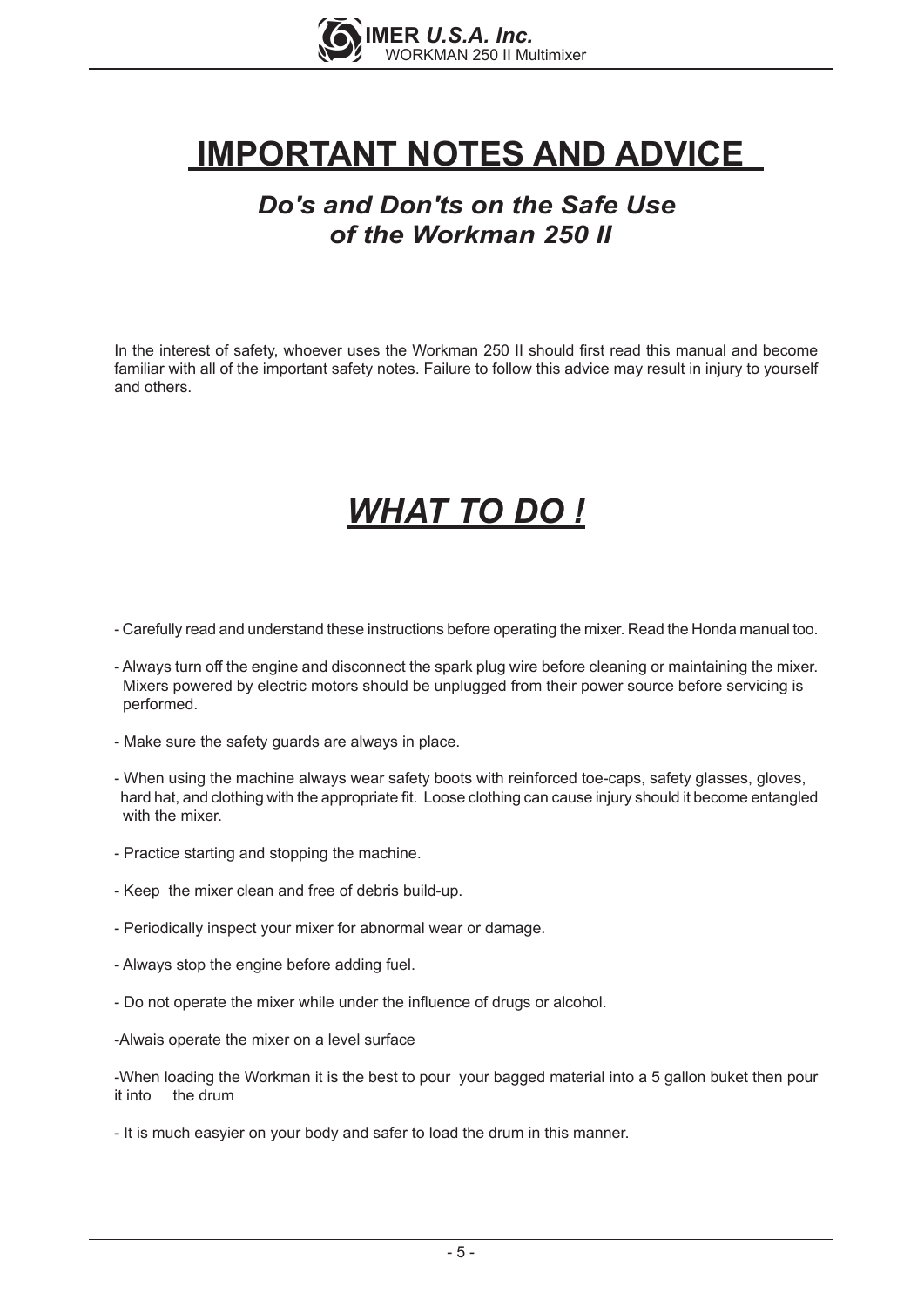

# **IMPORTANT NOTES AND ADVICE**

## *Do's and Don'ts on the Safe Use of the Workman 250 II*

In the interest of safety, whoever uses the Workman 250 II should first read this manual and become familiar with all of the important safety notes. Failure to follow this advice may result in injury to yourself and others.

# *WHAT TO DO !*

- Carefully read and understand these instructions before operating the mixer. Read the Honda manual too.
- Always turn off the engine and disconnect the spark plug wire before cleaning or maintaining the mixer. Mixers powered by electric motors should be unplugged from their power source before servicing is performed.
- Make sure the safety guards are always in place.
- When using the machine always wear safety boots with reinforced toe-caps, safety glasses, gloves, hard hat, and clothing with the appropriate fit. Loose clothing can cause injury should it become entangled with the mixer.
- Practice starting and stopping the machine.
- Keep the mixer clean and free of debris build-up.
- Periodically inspect your mixer for abnormal wear or damage.
- Always stop the engine before adding fuel.
- Do not operate the mixer while under the influence of drugs or alcohol.
- -Alwais operate the mixer on a level surface

-When loading the Workman it is the best to pour your bagged material into a 5 gallon buket then pour it into the drum

- It is much easyier on your body and safer to load the drum in this manner.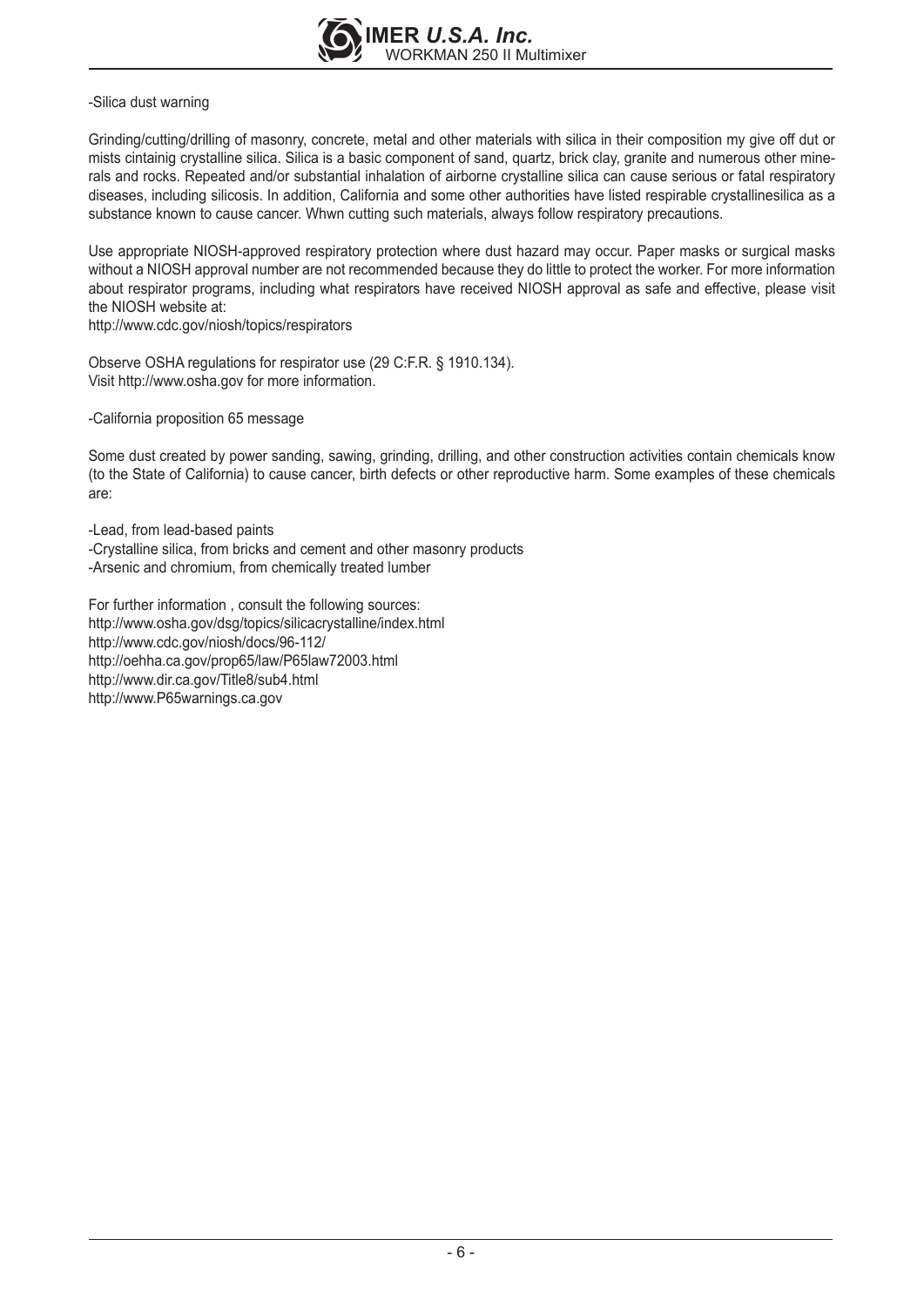

#### -Silica dust warning

Grinding/cutting/drilling of masonry, concrete, metal and other materials with silica in their composition my give off dut or mists cintainig crystalline silica. Silica is a basic component of sand, quartz, brick clay, granite and numerous other minerals and rocks. Repeated and/or substantial inhalation of airborne crystalline silica can cause serious or fatal respiratory diseases, including silicosis. In addition, California and some other authorities have listed respirable crystallinesilica as a substance known to cause cancer. Whwn cutting such materials, always follow respiratory precautions.

Use appropriate NIOSH-approved respiratory protection where dust hazard may occur. Paper masks or surgical masks without a NIOSH approval number are not recommended because they do little to protect the worker. For more information about respirator programs, including what respirators have received NIOSH approval as safe and effective, please visit the NIOSH website at:

http://www.cdc.gov/niosh/topics/respirators

Observe OSHA regulations for respirator use (29 C:F.R. § 1910.134). Visit http://www.osha.gov for more information.

-California proposition 65 message

Some dust created by power sanding, sawing, grinding, drilling, and other construction activities contain chemicals know (to the State of California) to cause cancer, birth defects or other reproductive harm. Some examples of these chemicals are:

-Lead, from lead-based paints -Crystalline silica, from bricks and cement and other masonry products -Arsenic and chromium, from chemically treated lumber

For further information , consult the following sources: http://www.osha.gov/dsg/topics/silicacrystalline/index.html http://www.cdc.gov/niosh/docs/96-112/ http://oehha.ca.gov/prop65/law/P65law72003.html http://www.dir.ca.gov/Title8/sub4.html http://www.P65warnings.ca.gov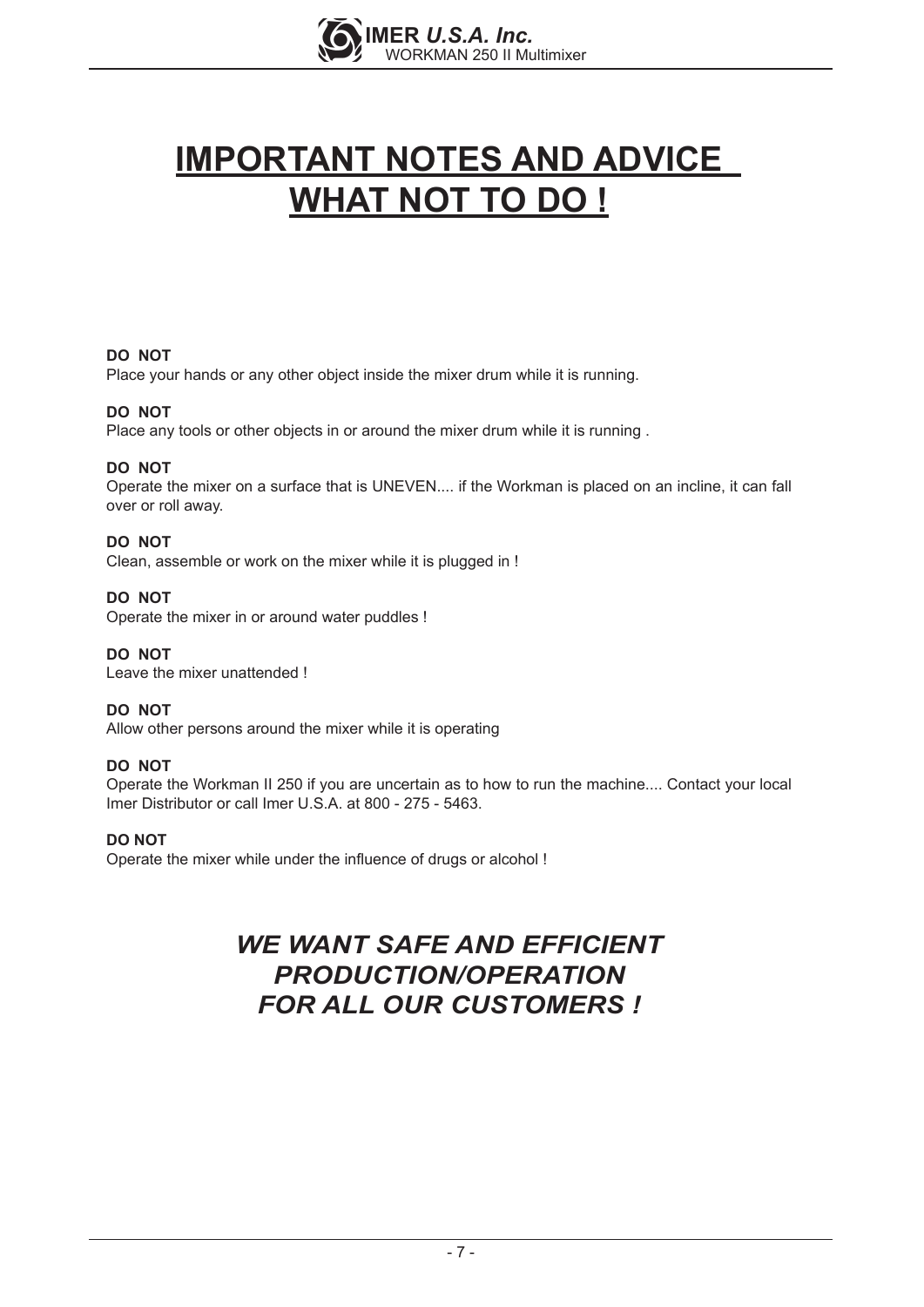

# **IMPORTANT NOTES AND ADVICE WHAT NOT TO DO !**

#### **DO NOT**

Place your hands or any other object inside the mixer drum while it is running.

#### **DO NOT**

Place any tools or other objects in or around the mixer drum while it is running .

#### **DO NOT**

Operate the mixer on a surface that is UNEVEN.... if the Workman is placed on an incline, it can fall over or roll away.

#### **DO NOT**

Clean, assemble or work on the mixer while it is plugged in !

#### **DO NOT**

Operate the mixer in or around water puddles !

**DO NOT**  Leave the mixer unattended !

#### **DO NOT**

Allow other persons around the mixer while it is operating

#### **DO NOT**

Operate the Workman II 250 if you are uncertain as to how to run the machine.... Contact your local Imer Distributor or call Imer U.S.A. at 800 - 275 - 5463.

#### **DO NOT**

Operate the mixer while under the influence of drugs or alcohol !

#### *WE WANT SAFE AND EFFICIENT PRODUCTION/OPERATION FOR ALL OUR CUSTOMERS !*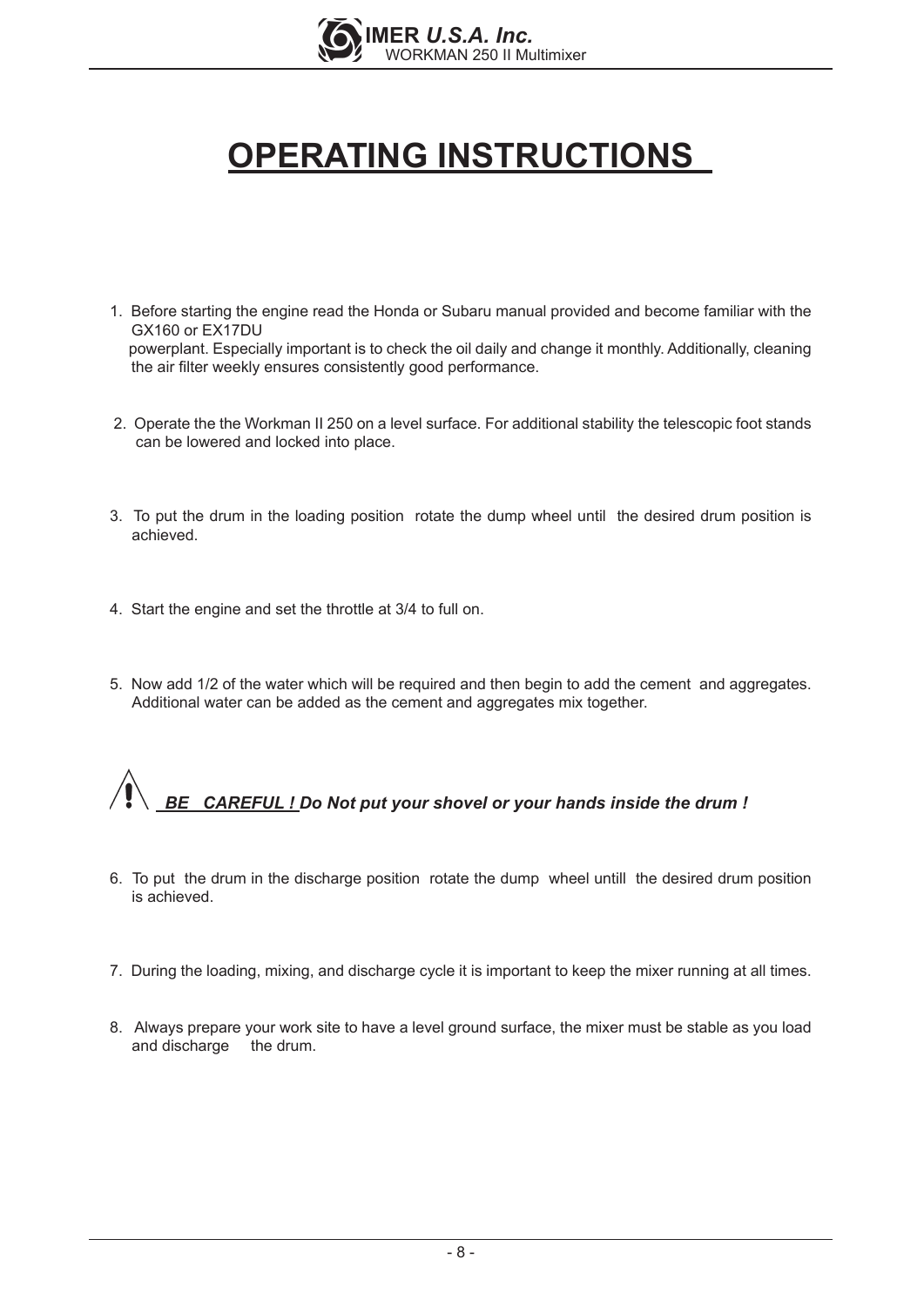

# **OPERATING INSTRUCTIONS**

- 1. Before starting the engine read the Honda or Subaru manual provided and become familiar with the GX160 or EX17DU powerplant. Especially important is to check the oil daily and change it monthly. Additionally, cleaning the air filter weekly ensures consistently good performance.
- 2. Operate the the Workman II 250 on a level surface. For additional stability the telescopic foot stands can be lowered and locked into place.
- 3. To put the drum in the loading position rotate the dump wheel until the desired drum position is achieved.
- 4. Start the engine and set the throttle at 3/4 to full on.
- 5. Now add 1/2 of the water which will be required and then begin to add the cement and aggregates. Additional water can be added as the cement and aggregates mix together.

*BE CAREFUL ! Do Not put your shovel or your hands inside the drum !* 

- 6. To put the drum in the discharge position rotate the dump wheel untill the desired drum position is achieved.
- 7. During the loading, mixing, and discharge cycle it is important to keep the mixer running at all times.
- 8. Always prepare your work site to have a level ground surface, the mixer must be stable as you load and discharge the drum.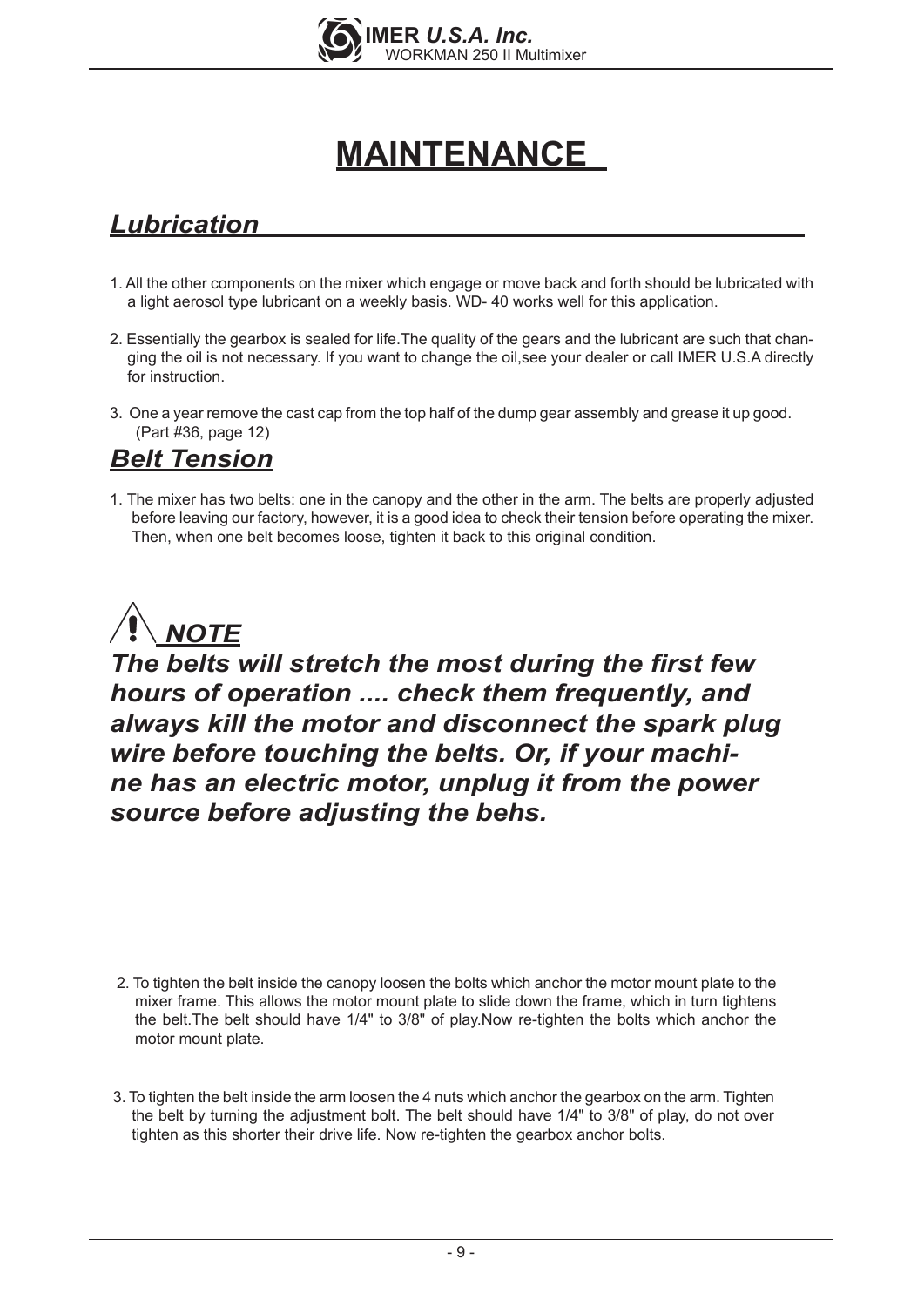

# **MAINTENANCE**

## *Lubrication*

- 1. All the other components on the mixer which engage or move back and forth should be lubricated with a light aerosol type lubricant on a weekly basis. WD- 40 works well for this application.
- 2. Essentially the gearbox is sealed for life.The quality of the gears and the lubricant are such that changing the oil is not necessary. If you want to change the oil,see your dealer or call IMER U.S.A directly for instruction.
- 3. One a year remove the cast cap from the top half of the dump gear assembly and grease it up good. (Part #36, page 12)

### *Belt Tension*

1. The mixer has two belts: one in the canopy and the other in the arm. The belts are properly adjusted before leaving our factory, however, it is a good idea to check their tension before operating the mixer. Then, when one belt becomes loose, tighten it back to this original condition.



*The belts will stretch the most during the first few hours of operation .... check them frequently, and always kill the motor and disconnect the spark plug wire before touching the belts. Or, if your machine has an electric motor, unplug it from the power source before adjusting the behs.*

- 2. To tighten the belt inside the canopy loosen the bolts which anchor the motor mount plate to the mixer frame. This allows the motor mount plate to slide down the frame, which in turn tightens the belt.The belt should have 1/4" to 3/8" of play.Now re-tighten the bolts which anchor the motor mount plate.
- 3. To tighten the belt inside the arm loosen the 4 nuts which anchor the gearbox on the arm. Tighten the belt by turning the adjustment bolt. The belt should have 1/4" to 3/8" of play, do not over tighten as this shorter their drive life. Now re-tighten the gearbox anchor bolts.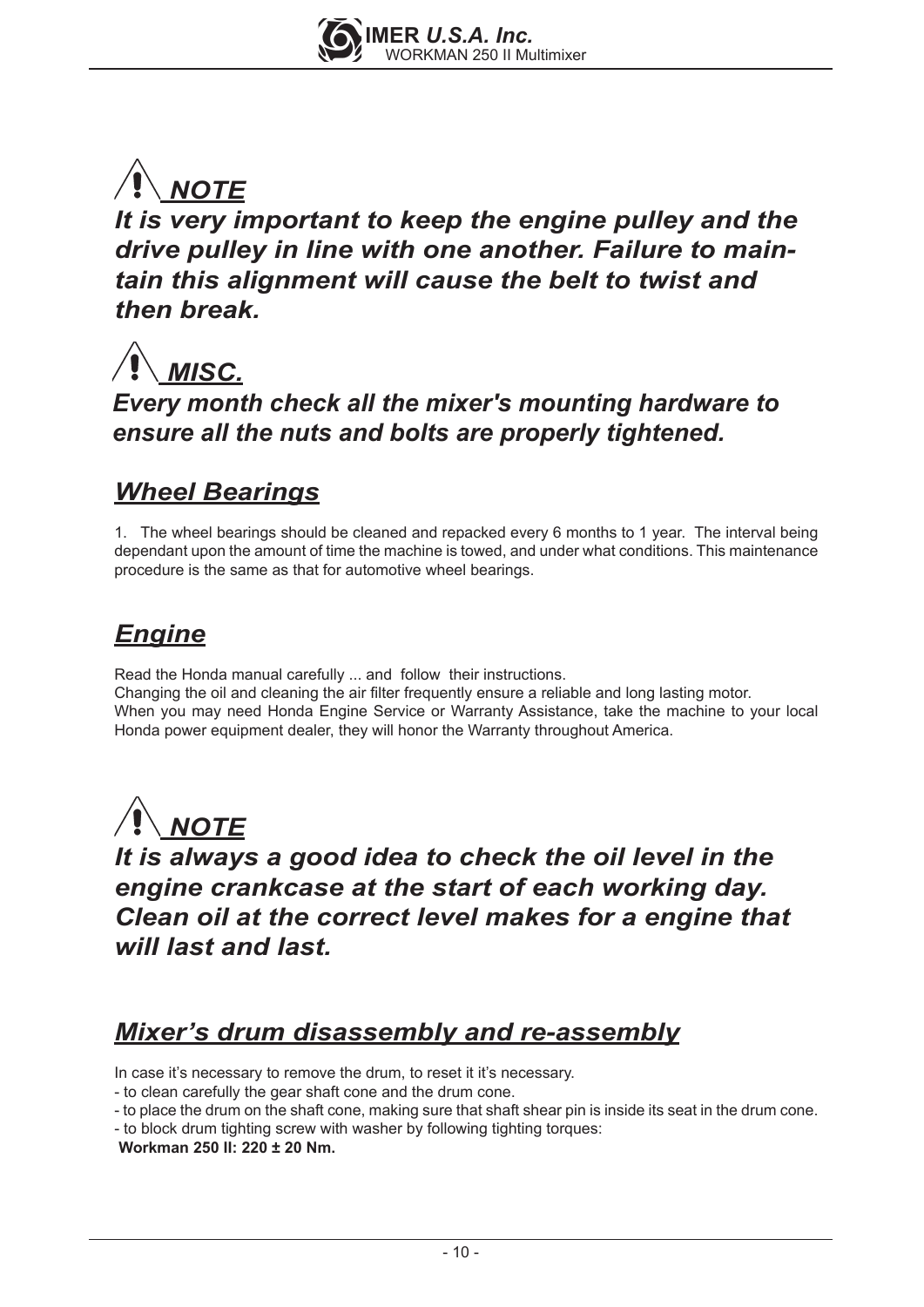

## *It is very important to keep the engine pulley and the drive pulley in line with one another. Failure to maintain this alignment will cause the belt to twist and then break.*



*Every month check all the mixer's mounting hardware to ensure all the nuts and bolts are properly tightened.*

## *Wheel Bearings*

1. The wheel bearings should be cleaned and repacked every 6 months to 1 year. The interval being dependant upon the amount of time the machine is towed, and under what conditions. This maintenance procedure is the same as that for automotive wheel bearings.

## *Engine*

Read the Honda manual carefully ... and follow their instructions. Changing the oil and cleaning the air filter frequently ensure a reliable and long lasting motor. When you may need Honda Engine Service or Warranty Assistance, take the machine to your local Honda power equipment dealer, they will honor the Warranty throughout America.



*It is always a good idea to check the oil level in the engine crankcase at the start of each working day. Clean oil at the correct level makes for a engine that will last and last.*

## *Mixer's drum disassembly and re-assembly*

In case it's necessary to remove the drum, to reset it it's necessary.

- to clean carefully the gear shaft cone and the drum cone.
- to place the drum on the shaft cone, making sure that shaft shear pin is inside its seat in the drum cone.
- to block drum tighting screw with washer by following tighting torques:

 **Workman 250 II: 220 ± 20 Nm.**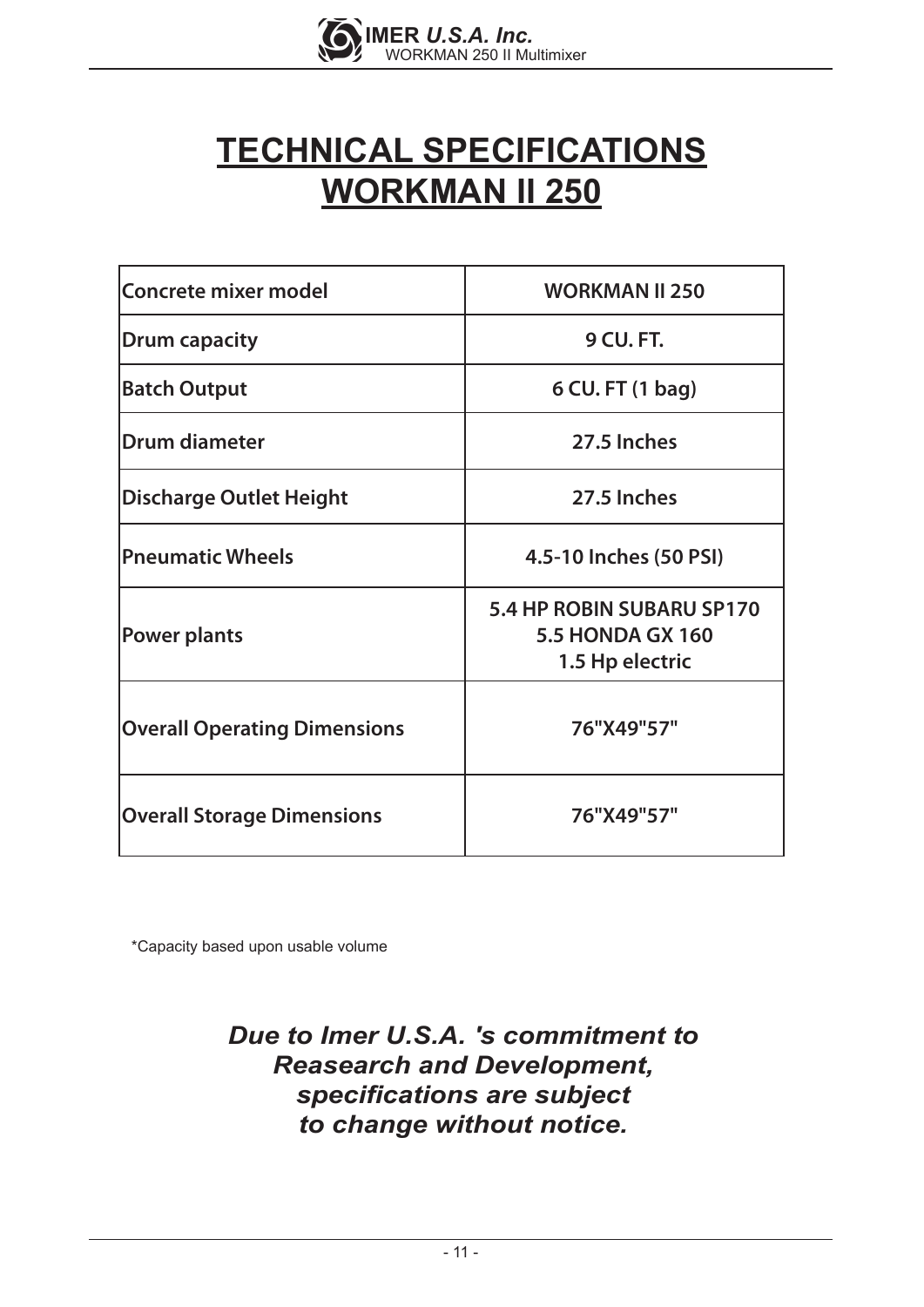

# **TECHNICAL SPECIFICATIONS WORKMAN II 250**

| Concrete mixer model                | <b>WORKMAN II 250</b>                                                   |
|-------------------------------------|-------------------------------------------------------------------------|
| <b>Drum capacity</b>                | <b>9 CU. FT.</b>                                                        |
| <b>Batch Output</b>                 | 6 CU. FT (1 bag)                                                        |
| Drum diameter                       | 27.5 Inches                                                             |
| <b>Discharge Outlet Height</b>      | 27.5 Inches                                                             |
| <b>Pneumatic Wheels</b>             | 4.5-10 Inches (50 PSI)                                                  |
| Power plants                        | 5.4 HP ROBIN SUBARU SP170<br><b>5.5 HONDA GX 160</b><br>1.5 Hp electric |
| <b>Overall Operating Dimensions</b> | 76"X49"57"                                                              |
| <b>Overall Storage Dimensions</b>   | 76"X49"57"                                                              |

\*Capacity based upon usable volume

## *Due to Imer U.S.A. 's commitment to Reasearch and Development, specifications are subject to change without notice.*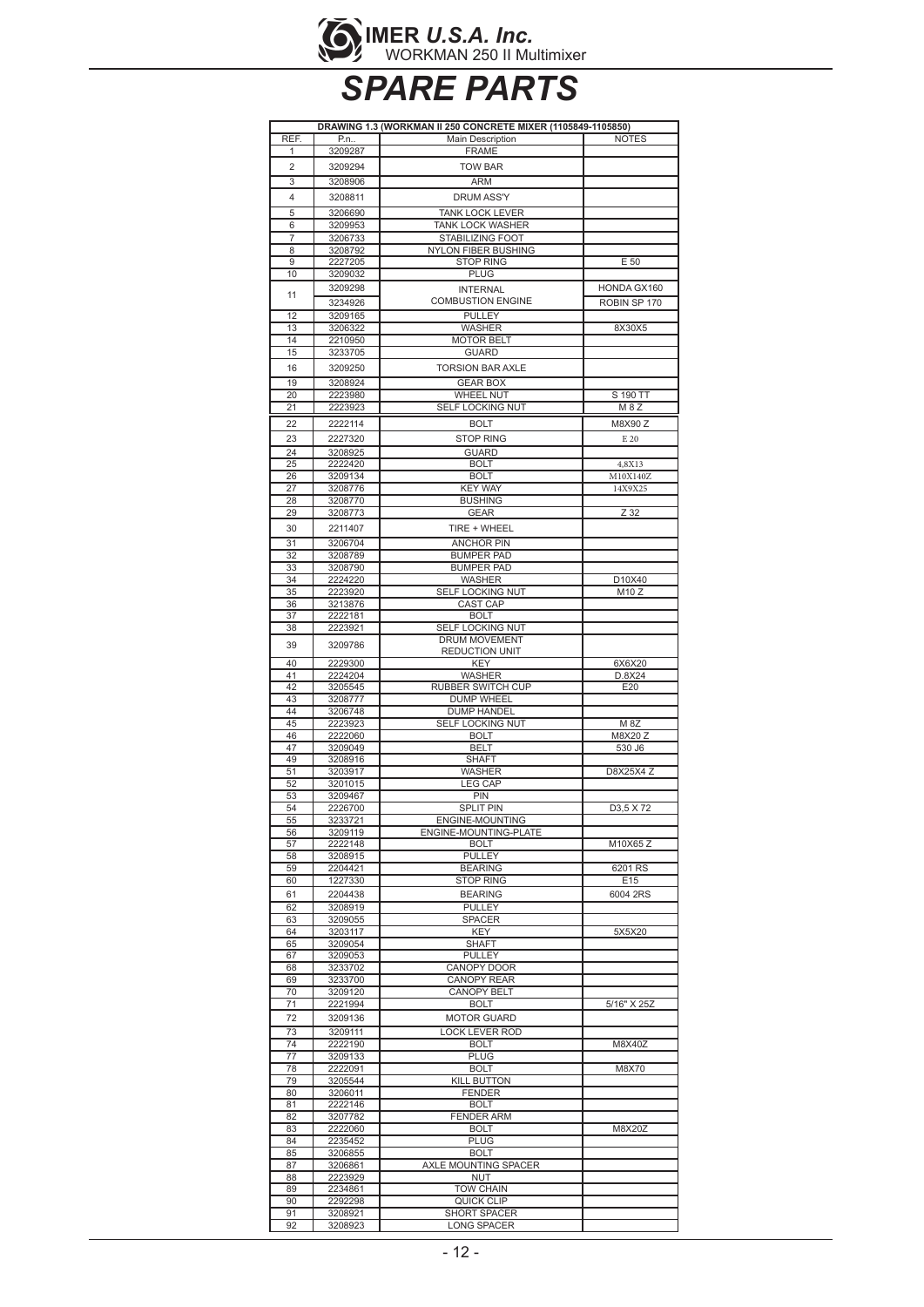

# *SPARE PARTS*

| REF.<br>Main Description<br><b>NOTES</b><br>P.n<br>3209287<br><b>FRAME</b><br>1<br>$\overline{2}$<br><b>TOW BAR</b><br>3209294<br>3<br>ARM<br>3208906<br>4<br><b>DRUM ASS'Y</b><br>3208811<br>5<br>3206690<br><b>TANK LOCK LEVER</b><br>6<br>3209953<br><b>TANK LOCK WASHER</b><br>$\overline{7}$<br>STABILIZING FOOT<br>3206733<br>8<br>3208792<br><b>NYLON FIBER BUSHING</b><br>9<br>2227205<br><b>STOP RING</b><br>E 50<br>10<br><b>PLUG</b><br>3209032<br>3209298<br>HONDA GX160<br><b>INTERNAL</b><br>11<br><b>COMBUSTION ENGINE</b><br>3234926<br>ROBIN SP 170<br><b>PULLEY</b><br>12<br>3209165<br>13<br>3206322<br>8X30X5<br><b>WASHER</b><br>14<br>2210950<br><b>MOTOR BELT</b><br>15<br><b>GUARD</b><br>3233705<br>3209250<br><b>TORSION BAR AXLE</b><br>16<br>19<br>3208924<br><b>GEAR BOX</b><br>20<br>2223980<br><b>WHEEL NUT</b><br>S 190 TT<br>SELF LOCKING NUT<br>21<br>2223923<br>M 8 Z<br>M8X90 Z<br>22<br>2222114<br><b>BOLT</b><br>23<br>2227320<br><b>STOP RING</b><br>E 20<br>24<br>3208925<br><b>GUARD</b><br>25<br>2222420<br><b>BOLT</b><br>4,8X13<br>3209134<br><b>BOLT</b><br>26<br>M10X140Z<br>27<br>3208776<br><b>KEY WAY</b><br>14X9X25<br><b>BUSHING</b><br>28<br>3208770<br>Z 32<br>29<br>3208773<br><b>GEAR</b><br>30<br>2211407<br>TIRE + WHEEL<br>31<br>3206704<br><b>ANCHOR PIN</b><br>32<br>3208789<br><b>BUMPER PAD</b><br>33<br>3208790<br><b>BUMPER PAD</b><br>D10X40<br>34<br>2224220<br>WASHER<br>M10Z<br>35<br>SELF LOCKING NUT<br>2223920<br>36<br>3213876<br>CAST CAP<br>37<br><b>BOLT</b><br>2222181<br>38<br>2223921<br>SELF LOCKING NUT<br>DRUM MOVEMENT<br>39<br>3209786<br><b>REDUCTION UNIT</b><br>2229300<br>6X6X20<br>40<br>KEY<br>41<br>2224204<br>WASHER<br>D.8X24<br>42<br>E20<br>3205545<br>RUBBER SWITCH CUP<br>43<br>3208777<br><b>DUMP WHEEL</b><br>44<br>3206748<br><b>DUMP HANDEL</b><br>45<br>2223923<br>SELF LOCKING NUT<br>M 8Z<br>2222060<br>M8X20 Z<br>46<br><b>BOLT</b><br>47<br>3209049<br>BELT<br>530 J6<br>49<br>3208916<br><b>SHAFT</b><br>51<br>3203917<br><b>WASHER</b><br>D8X25X4 Z<br>52<br>3201015<br><b>LEG CAP</b><br>53<br>3209467<br>PIN<br>54<br>2226700<br><b>SPLIT PIN</b><br>D3,5 X72<br>55<br>3233721<br>ENGINE-MOUNTING<br>56<br>ENGINE-MOUNTING-PLATE<br>3209119<br>2222148<br>57<br><b>BOLT</b><br>M10X65 Z<br><b>PULLEY</b><br>58<br>3208915<br>6201 RS<br>59<br>2204421<br><b>BEARING</b><br>E15<br>60<br>1227330<br><b>STOP RING</b><br><b>BEARING</b><br>6004 2RS<br>61<br>2204438<br>62<br>3208919<br><b>PULLEY</b><br>SPACER<br>63<br>3209055<br>64<br>3203117<br>KEY<br>5X5X20<br><b>SHAFT</b><br>65<br>3209054<br>67<br>3209053<br><b>PULLEY</b><br>68<br>3233702<br>CANOPY DOOR<br><b>CANOPY REAR</b><br>69<br>3233700<br>70<br>3209120<br><b>CANOPY BELT</b><br>71<br>2221994<br><b>BOLT</b><br>5/16" X 25Z<br>72<br><b>MOTOR GUARD</b><br>3209136<br>73<br>3209111<br><b>LOCK LEVER ROD</b><br>74<br>2222190<br><b>BOLT</b><br>M8X40Z<br>77<br>3209133<br><b>PLUG</b><br>78<br>2222091<br><b>BOLT</b><br>M8X70<br>79<br>3205544<br>KILL BUTTON<br>80<br>3206011<br><b>FENDER</b><br>2222146<br>81<br><b>BOLT</b><br>82<br>3207782<br><b>FENDER ARM</b><br>83<br>2222060<br><b>BOLT</b><br>M8X20Z<br><b>PLUG</b><br>84<br>2235452<br>85<br>3206855<br><b>BOLT</b><br>87<br>AXLE MOUNTING SPACER<br>3206861<br>2223929<br><b>NUT</b><br>88<br>89<br><b>TOW CHAIN</b><br>2234861<br>90<br>2292298<br>QUICK CLIP<br>91<br>3208921<br>SHORT SPACER | DRAWING 1.3 (WORKMAN II 250 CONCRETE MIXER (1105849-1105850) |         |             |  |
|---------------------------------------------------------------------------------------------------------------------------------------------------------------------------------------------------------------------------------------------------------------------------------------------------------------------------------------------------------------------------------------------------------------------------------------------------------------------------------------------------------------------------------------------------------------------------------------------------------------------------------------------------------------------------------------------------------------------------------------------------------------------------------------------------------------------------------------------------------------------------------------------------------------------------------------------------------------------------------------------------------------------------------------------------------------------------------------------------------------------------------------------------------------------------------------------------------------------------------------------------------------------------------------------------------------------------------------------------------------------------------------------------------------------------------------------------------------------------------------------------------------------------------------------------------------------------------------------------------------------------------------------------------------------------------------------------------------------------------------------------------------------------------------------------------------------------------------------------------------------------------------------------------------------------------------------------------------------------------------------------------------------------------------------------------------------------------------------------------------------------------------------------------------------------------------------------------------------------------------------------------------------------------------------------------------------------------------------------------------------------------------------------------------------------------------------------------------------------------------------------------------------------------------------------------------------------------------------------------------------------------------------------------------------------------------------------------------------------------------------------------------------------------------------------------------------------------------------------------------------------------------------------------------------------------------------------------------------------------------------------------------------------------------------------------------------------------------------------------------------------------------------------------------------------------------------------------------------------------------------------------------------------------------------------------------------------------------------------------------------------------------------------------------------------------------------------|--------------------------------------------------------------|---------|-------------|--|
|                                                                                                                                                                                                                                                                                                                                                                                                                                                                                                                                                                                                                                                                                                                                                                                                                                                                                                                                                                                                                                                                                                                                                                                                                                                                                                                                                                                                                                                                                                                                                                                                                                                                                                                                                                                                                                                                                                                                                                                                                                                                                                                                                                                                                                                                                                                                                                                                                                                                                                                                                                                                                                                                                                                                                                                                                                                                                                                                                                                                                                                                                                                                                                                                                                                                                                                                                                                                                                                   |                                                              |         |             |  |
|                                                                                                                                                                                                                                                                                                                                                                                                                                                                                                                                                                                                                                                                                                                                                                                                                                                                                                                                                                                                                                                                                                                                                                                                                                                                                                                                                                                                                                                                                                                                                                                                                                                                                                                                                                                                                                                                                                                                                                                                                                                                                                                                                                                                                                                                                                                                                                                                                                                                                                                                                                                                                                                                                                                                                                                                                                                                                                                                                                                                                                                                                                                                                                                                                                                                                                                                                                                                                                                   |                                                              |         |             |  |
|                                                                                                                                                                                                                                                                                                                                                                                                                                                                                                                                                                                                                                                                                                                                                                                                                                                                                                                                                                                                                                                                                                                                                                                                                                                                                                                                                                                                                                                                                                                                                                                                                                                                                                                                                                                                                                                                                                                                                                                                                                                                                                                                                                                                                                                                                                                                                                                                                                                                                                                                                                                                                                                                                                                                                                                                                                                                                                                                                                                                                                                                                                                                                                                                                                                                                                                                                                                                                                                   |                                                              |         |             |  |
|                                                                                                                                                                                                                                                                                                                                                                                                                                                                                                                                                                                                                                                                                                                                                                                                                                                                                                                                                                                                                                                                                                                                                                                                                                                                                                                                                                                                                                                                                                                                                                                                                                                                                                                                                                                                                                                                                                                                                                                                                                                                                                                                                                                                                                                                                                                                                                                                                                                                                                                                                                                                                                                                                                                                                                                                                                                                                                                                                                                                                                                                                                                                                                                                                                                                                                                                                                                                                                                   |                                                              |         |             |  |
|                                                                                                                                                                                                                                                                                                                                                                                                                                                                                                                                                                                                                                                                                                                                                                                                                                                                                                                                                                                                                                                                                                                                                                                                                                                                                                                                                                                                                                                                                                                                                                                                                                                                                                                                                                                                                                                                                                                                                                                                                                                                                                                                                                                                                                                                                                                                                                                                                                                                                                                                                                                                                                                                                                                                                                                                                                                                                                                                                                                                                                                                                                                                                                                                                                                                                                                                                                                                                                                   |                                                              |         |             |  |
|                                                                                                                                                                                                                                                                                                                                                                                                                                                                                                                                                                                                                                                                                                                                                                                                                                                                                                                                                                                                                                                                                                                                                                                                                                                                                                                                                                                                                                                                                                                                                                                                                                                                                                                                                                                                                                                                                                                                                                                                                                                                                                                                                                                                                                                                                                                                                                                                                                                                                                                                                                                                                                                                                                                                                                                                                                                                                                                                                                                                                                                                                                                                                                                                                                                                                                                                                                                                                                                   |                                                              |         |             |  |
|                                                                                                                                                                                                                                                                                                                                                                                                                                                                                                                                                                                                                                                                                                                                                                                                                                                                                                                                                                                                                                                                                                                                                                                                                                                                                                                                                                                                                                                                                                                                                                                                                                                                                                                                                                                                                                                                                                                                                                                                                                                                                                                                                                                                                                                                                                                                                                                                                                                                                                                                                                                                                                                                                                                                                                                                                                                                                                                                                                                                                                                                                                                                                                                                                                                                                                                                                                                                                                                   |                                                              |         |             |  |
|                                                                                                                                                                                                                                                                                                                                                                                                                                                                                                                                                                                                                                                                                                                                                                                                                                                                                                                                                                                                                                                                                                                                                                                                                                                                                                                                                                                                                                                                                                                                                                                                                                                                                                                                                                                                                                                                                                                                                                                                                                                                                                                                                                                                                                                                                                                                                                                                                                                                                                                                                                                                                                                                                                                                                                                                                                                                                                                                                                                                                                                                                                                                                                                                                                                                                                                                                                                                                                                   |                                                              |         |             |  |
|                                                                                                                                                                                                                                                                                                                                                                                                                                                                                                                                                                                                                                                                                                                                                                                                                                                                                                                                                                                                                                                                                                                                                                                                                                                                                                                                                                                                                                                                                                                                                                                                                                                                                                                                                                                                                                                                                                                                                                                                                                                                                                                                                                                                                                                                                                                                                                                                                                                                                                                                                                                                                                                                                                                                                                                                                                                                                                                                                                                                                                                                                                                                                                                                                                                                                                                                                                                                                                                   |                                                              |         |             |  |
|                                                                                                                                                                                                                                                                                                                                                                                                                                                                                                                                                                                                                                                                                                                                                                                                                                                                                                                                                                                                                                                                                                                                                                                                                                                                                                                                                                                                                                                                                                                                                                                                                                                                                                                                                                                                                                                                                                                                                                                                                                                                                                                                                                                                                                                                                                                                                                                                                                                                                                                                                                                                                                                                                                                                                                                                                                                                                                                                                                                                                                                                                                                                                                                                                                                                                                                                                                                                                                                   |                                                              |         |             |  |
|                                                                                                                                                                                                                                                                                                                                                                                                                                                                                                                                                                                                                                                                                                                                                                                                                                                                                                                                                                                                                                                                                                                                                                                                                                                                                                                                                                                                                                                                                                                                                                                                                                                                                                                                                                                                                                                                                                                                                                                                                                                                                                                                                                                                                                                                                                                                                                                                                                                                                                                                                                                                                                                                                                                                                                                                                                                                                                                                                                                                                                                                                                                                                                                                                                                                                                                                                                                                                                                   |                                                              |         |             |  |
|                                                                                                                                                                                                                                                                                                                                                                                                                                                                                                                                                                                                                                                                                                                                                                                                                                                                                                                                                                                                                                                                                                                                                                                                                                                                                                                                                                                                                                                                                                                                                                                                                                                                                                                                                                                                                                                                                                                                                                                                                                                                                                                                                                                                                                                                                                                                                                                                                                                                                                                                                                                                                                                                                                                                                                                                                                                                                                                                                                                                                                                                                                                                                                                                                                                                                                                                                                                                                                                   |                                                              |         |             |  |
|                                                                                                                                                                                                                                                                                                                                                                                                                                                                                                                                                                                                                                                                                                                                                                                                                                                                                                                                                                                                                                                                                                                                                                                                                                                                                                                                                                                                                                                                                                                                                                                                                                                                                                                                                                                                                                                                                                                                                                                                                                                                                                                                                                                                                                                                                                                                                                                                                                                                                                                                                                                                                                                                                                                                                                                                                                                                                                                                                                                                                                                                                                                                                                                                                                                                                                                                                                                                                                                   |                                                              |         |             |  |
|                                                                                                                                                                                                                                                                                                                                                                                                                                                                                                                                                                                                                                                                                                                                                                                                                                                                                                                                                                                                                                                                                                                                                                                                                                                                                                                                                                                                                                                                                                                                                                                                                                                                                                                                                                                                                                                                                                                                                                                                                                                                                                                                                                                                                                                                                                                                                                                                                                                                                                                                                                                                                                                                                                                                                                                                                                                                                                                                                                                                                                                                                                                                                                                                                                                                                                                                                                                                                                                   |                                                              |         |             |  |
|                                                                                                                                                                                                                                                                                                                                                                                                                                                                                                                                                                                                                                                                                                                                                                                                                                                                                                                                                                                                                                                                                                                                                                                                                                                                                                                                                                                                                                                                                                                                                                                                                                                                                                                                                                                                                                                                                                                                                                                                                                                                                                                                                                                                                                                                                                                                                                                                                                                                                                                                                                                                                                                                                                                                                                                                                                                                                                                                                                                                                                                                                                                                                                                                                                                                                                                                                                                                                                                   |                                                              |         |             |  |
|                                                                                                                                                                                                                                                                                                                                                                                                                                                                                                                                                                                                                                                                                                                                                                                                                                                                                                                                                                                                                                                                                                                                                                                                                                                                                                                                                                                                                                                                                                                                                                                                                                                                                                                                                                                                                                                                                                                                                                                                                                                                                                                                                                                                                                                                                                                                                                                                                                                                                                                                                                                                                                                                                                                                                                                                                                                                                                                                                                                                                                                                                                                                                                                                                                                                                                                                                                                                                                                   |                                                              |         |             |  |
|                                                                                                                                                                                                                                                                                                                                                                                                                                                                                                                                                                                                                                                                                                                                                                                                                                                                                                                                                                                                                                                                                                                                                                                                                                                                                                                                                                                                                                                                                                                                                                                                                                                                                                                                                                                                                                                                                                                                                                                                                                                                                                                                                                                                                                                                                                                                                                                                                                                                                                                                                                                                                                                                                                                                                                                                                                                                                                                                                                                                                                                                                                                                                                                                                                                                                                                                                                                                                                                   |                                                              |         |             |  |
|                                                                                                                                                                                                                                                                                                                                                                                                                                                                                                                                                                                                                                                                                                                                                                                                                                                                                                                                                                                                                                                                                                                                                                                                                                                                                                                                                                                                                                                                                                                                                                                                                                                                                                                                                                                                                                                                                                                                                                                                                                                                                                                                                                                                                                                                                                                                                                                                                                                                                                                                                                                                                                                                                                                                                                                                                                                                                                                                                                                                                                                                                                                                                                                                                                                                                                                                                                                                                                                   |                                                              |         |             |  |
|                                                                                                                                                                                                                                                                                                                                                                                                                                                                                                                                                                                                                                                                                                                                                                                                                                                                                                                                                                                                                                                                                                                                                                                                                                                                                                                                                                                                                                                                                                                                                                                                                                                                                                                                                                                                                                                                                                                                                                                                                                                                                                                                                                                                                                                                                                                                                                                                                                                                                                                                                                                                                                                                                                                                                                                                                                                                                                                                                                                                                                                                                                                                                                                                                                                                                                                                                                                                                                                   |                                                              |         |             |  |
|                                                                                                                                                                                                                                                                                                                                                                                                                                                                                                                                                                                                                                                                                                                                                                                                                                                                                                                                                                                                                                                                                                                                                                                                                                                                                                                                                                                                                                                                                                                                                                                                                                                                                                                                                                                                                                                                                                                                                                                                                                                                                                                                                                                                                                                                                                                                                                                                                                                                                                                                                                                                                                                                                                                                                                                                                                                                                                                                                                                                                                                                                                                                                                                                                                                                                                                                                                                                                                                   |                                                              |         |             |  |
|                                                                                                                                                                                                                                                                                                                                                                                                                                                                                                                                                                                                                                                                                                                                                                                                                                                                                                                                                                                                                                                                                                                                                                                                                                                                                                                                                                                                                                                                                                                                                                                                                                                                                                                                                                                                                                                                                                                                                                                                                                                                                                                                                                                                                                                                                                                                                                                                                                                                                                                                                                                                                                                                                                                                                                                                                                                                                                                                                                                                                                                                                                                                                                                                                                                                                                                                                                                                                                                   |                                                              |         |             |  |
|                                                                                                                                                                                                                                                                                                                                                                                                                                                                                                                                                                                                                                                                                                                                                                                                                                                                                                                                                                                                                                                                                                                                                                                                                                                                                                                                                                                                                                                                                                                                                                                                                                                                                                                                                                                                                                                                                                                                                                                                                                                                                                                                                                                                                                                                                                                                                                                                                                                                                                                                                                                                                                                                                                                                                                                                                                                                                                                                                                                                                                                                                                                                                                                                                                                                                                                                                                                                                                                   |                                                              |         |             |  |
|                                                                                                                                                                                                                                                                                                                                                                                                                                                                                                                                                                                                                                                                                                                                                                                                                                                                                                                                                                                                                                                                                                                                                                                                                                                                                                                                                                                                                                                                                                                                                                                                                                                                                                                                                                                                                                                                                                                                                                                                                                                                                                                                                                                                                                                                                                                                                                                                                                                                                                                                                                                                                                                                                                                                                                                                                                                                                                                                                                                                                                                                                                                                                                                                                                                                                                                                                                                                                                                   |                                                              |         |             |  |
|                                                                                                                                                                                                                                                                                                                                                                                                                                                                                                                                                                                                                                                                                                                                                                                                                                                                                                                                                                                                                                                                                                                                                                                                                                                                                                                                                                                                                                                                                                                                                                                                                                                                                                                                                                                                                                                                                                                                                                                                                                                                                                                                                                                                                                                                                                                                                                                                                                                                                                                                                                                                                                                                                                                                                                                                                                                                                                                                                                                                                                                                                                                                                                                                                                                                                                                                                                                                                                                   |                                                              |         |             |  |
|                                                                                                                                                                                                                                                                                                                                                                                                                                                                                                                                                                                                                                                                                                                                                                                                                                                                                                                                                                                                                                                                                                                                                                                                                                                                                                                                                                                                                                                                                                                                                                                                                                                                                                                                                                                                                                                                                                                                                                                                                                                                                                                                                                                                                                                                                                                                                                                                                                                                                                                                                                                                                                                                                                                                                                                                                                                                                                                                                                                                                                                                                                                                                                                                                                                                                                                                                                                                                                                   |                                                              |         |             |  |
|                                                                                                                                                                                                                                                                                                                                                                                                                                                                                                                                                                                                                                                                                                                                                                                                                                                                                                                                                                                                                                                                                                                                                                                                                                                                                                                                                                                                                                                                                                                                                                                                                                                                                                                                                                                                                                                                                                                                                                                                                                                                                                                                                                                                                                                                                                                                                                                                                                                                                                                                                                                                                                                                                                                                                                                                                                                                                                                                                                                                                                                                                                                                                                                                                                                                                                                                                                                                                                                   |                                                              |         |             |  |
|                                                                                                                                                                                                                                                                                                                                                                                                                                                                                                                                                                                                                                                                                                                                                                                                                                                                                                                                                                                                                                                                                                                                                                                                                                                                                                                                                                                                                                                                                                                                                                                                                                                                                                                                                                                                                                                                                                                                                                                                                                                                                                                                                                                                                                                                                                                                                                                                                                                                                                                                                                                                                                                                                                                                                                                                                                                                                                                                                                                                                                                                                                                                                                                                                                                                                                                                                                                                                                                   |                                                              |         |             |  |
|                                                                                                                                                                                                                                                                                                                                                                                                                                                                                                                                                                                                                                                                                                                                                                                                                                                                                                                                                                                                                                                                                                                                                                                                                                                                                                                                                                                                                                                                                                                                                                                                                                                                                                                                                                                                                                                                                                                                                                                                                                                                                                                                                                                                                                                                                                                                                                                                                                                                                                                                                                                                                                                                                                                                                                                                                                                                                                                                                                                                                                                                                                                                                                                                                                                                                                                                                                                                                                                   |                                                              |         |             |  |
|                                                                                                                                                                                                                                                                                                                                                                                                                                                                                                                                                                                                                                                                                                                                                                                                                                                                                                                                                                                                                                                                                                                                                                                                                                                                                                                                                                                                                                                                                                                                                                                                                                                                                                                                                                                                                                                                                                                                                                                                                                                                                                                                                                                                                                                                                                                                                                                                                                                                                                                                                                                                                                                                                                                                                                                                                                                                                                                                                                                                                                                                                                                                                                                                                                                                                                                                                                                                                                                   |                                                              |         |             |  |
|                                                                                                                                                                                                                                                                                                                                                                                                                                                                                                                                                                                                                                                                                                                                                                                                                                                                                                                                                                                                                                                                                                                                                                                                                                                                                                                                                                                                                                                                                                                                                                                                                                                                                                                                                                                                                                                                                                                                                                                                                                                                                                                                                                                                                                                                                                                                                                                                                                                                                                                                                                                                                                                                                                                                                                                                                                                                                                                                                                                                                                                                                                                                                                                                                                                                                                                                                                                                                                                   |                                                              |         |             |  |
|                                                                                                                                                                                                                                                                                                                                                                                                                                                                                                                                                                                                                                                                                                                                                                                                                                                                                                                                                                                                                                                                                                                                                                                                                                                                                                                                                                                                                                                                                                                                                                                                                                                                                                                                                                                                                                                                                                                                                                                                                                                                                                                                                                                                                                                                                                                                                                                                                                                                                                                                                                                                                                                                                                                                                                                                                                                                                                                                                                                                                                                                                                                                                                                                                                                                                                                                                                                                                                                   |                                                              |         |             |  |
|                                                                                                                                                                                                                                                                                                                                                                                                                                                                                                                                                                                                                                                                                                                                                                                                                                                                                                                                                                                                                                                                                                                                                                                                                                                                                                                                                                                                                                                                                                                                                                                                                                                                                                                                                                                                                                                                                                                                                                                                                                                                                                                                                                                                                                                                                                                                                                                                                                                                                                                                                                                                                                                                                                                                                                                                                                                                                                                                                                                                                                                                                                                                                                                                                                                                                                                                                                                                                                                   |                                                              |         |             |  |
|                                                                                                                                                                                                                                                                                                                                                                                                                                                                                                                                                                                                                                                                                                                                                                                                                                                                                                                                                                                                                                                                                                                                                                                                                                                                                                                                                                                                                                                                                                                                                                                                                                                                                                                                                                                                                                                                                                                                                                                                                                                                                                                                                                                                                                                                                                                                                                                                                                                                                                                                                                                                                                                                                                                                                                                                                                                                                                                                                                                                                                                                                                                                                                                                                                                                                                                                                                                                                                                   |                                                              |         |             |  |
|                                                                                                                                                                                                                                                                                                                                                                                                                                                                                                                                                                                                                                                                                                                                                                                                                                                                                                                                                                                                                                                                                                                                                                                                                                                                                                                                                                                                                                                                                                                                                                                                                                                                                                                                                                                                                                                                                                                                                                                                                                                                                                                                                                                                                                                                                                                                                                                                                                                                                                                                                                                                                                                                                                                                                                                                                                                                                                                                                                                                                                                                                                                                                                                                                                                                                                                                                                                                                                                   |                                                              |         |             |  |
|                                                                                                                                                                                                                                                                                                                                                                                                                                                                                                                                                                                                                                                                                                                                                                                                                                                                                                                                                                                                                                                                                                                                                                                                                                                                                                                                                                                                                                                                                                                                                                                                                                                                                                                                                                                                                                                                                                                                                                                                                                                                                                                                                                                                                                                                                                                                                                                                                                                                                                                                                                                                                                                                                                                                                                                                                                                                                                                                                                                                                                                                                                                                                                                                                                                                                                                                                                                                                                                   |                                                              |         |             |  |
|                                                                                                                                                                                                                                                                                                                                                                                                                                                                                                                                                                                                                                                                                                                                                                                                                                                                                                                                                                                                                                                                                                                                                                                                                                                                                                                                                                                                                                                                                                                                                                                                                                                                                                                                                                                                                                                                                                                                                                                                                                                                                                                                                                                                                                                                                                                                                                                                                                                                                                                                                                                                                                                                                                                                                                                                                                                                                                                                                                                                                                                                                                                                                                                                                                                                                                                                                                                                                                                   |                                                              |         |             |  |
|                                                                                                                                                                                                                                                                                                                                                                                                                                                                                                                                                                                                                                                                                                                                                                                                                                                                                                                                                                                                                                                                                                                                                                                                                                                                                                                                                                                                                                                                                                                                                                                                                                                                                                                                                                                                                                                                                                                                                                                                                                                                                                                                                                                                                                                                                                                                                                                                                                                                                                                                                                                                                                                                                                                                                                                                                                                                                                                                                                                                                                                                                                                                                                                                                                                                                                                                                                                                                                                   |                                                              |         |             |  |
|                                                                                                                                                                                                                                                                                                                                                                                                                                                                                                                                                                                                                                                                                                                                                                                                                                                                                                                                                                                                                                                                                                                                                                                                                                                                                                                                                                                                                                                                                                                                                                                                                                                                                                                                                                                                                                                                                                                                                                                                                                                                                                                                                                                                                                                                                                                                                                                                                                                                                                                                                                                                                                                                                                                                                                                                                                                                                                                                                                                                                                                                                                                                                                                                                                                                                                                                                                                                                                                   |                                                              |         |             |  |
|                                                                                                                                                                                                                                                                                                                                                                                                                                                                                                                                                                                                                                                                                                                                                                                                                                                                                                                                                                                                                                                                                                                                                                                                                                                                                                                                                                                                                                                                                                                                                                                                                                                                                                                                                                                                                                                                                                                                                                                                                                                                                                                                                                                                                                                                                                                                                                                                                                                                                                                                                                                                                                                                                                                                                                                                                                                                                                                                                                                                                                                                                                                                                                                                                                                                                                                                                                                                                                                   |                                                              |         |             |  |
|                                                                                                                                                                                                                                                                                                                                                                                                                                                                                                                                                                                                                                                                                                                                                                                                                                                                                                                                                                                                                                                                                                                                                                                                                                                                                                                                                                                                                                                                                                                                                                                                                                                                                                                                                                                                                                                                                                                                                                                                                                                                                                                                                                                                                                                                                                                                                                                                                                                                                                                                                                                                                                                                                                                                                                                                                                                                                                                                                                                                                                                                                                                                                                                                                                                                                                                                                                                                                                                   |                                                              |         |             |  |
|                                                                                                                                                                                                                                                                                                                                                                                                                                                                                                                                                                                                                                                                                                                                                                                                                                                                                                                                                                                                                                                                                                                                                                                                                                                                                                                                                                                                                                                                                                                                                                                                                                                                                                                                                                                                                                                                                                                                                                                                                                                                                                                                                                                                                                                                                                                                                                                                                                                                                                                                                                                                                                                                                                                                                                                                                                                                                                                                                                                                                                                                                                                                                                                                                                                                                                                                                                                                                                                   |                                                              |         |             |  |
|                                                                                                                                                                                                                                                                                                                                                                                                                                                                                                                                                                                                                                                                                                                                                                                                                                                                                                                                                                                                                                                                                                                                                                                                                                                                                                                                                                                                                                                                                                                                                                                                                                                                                                                                                                                                                                                                                                                                                                                                                                                                                                                                                                                                                                                                                                                                                                                                                                                                                                                                                                                                                                                                                                                                                                                                                                                                                                                                                                                                                                                                                                                                                                                                                                                                                                                                                                                                                                                   |                                                              |         |             |  |
|                                                                                                                                                                                                                                                                                                                                                                                                                                                                                                                                                                                                                                                                                                                                                                                                                                                                                                                                                                                                                                                                                                                                                                                                                                                                                                                                                                                                                                                                                                                                                                                                                                                                                                                                                                                                                                                                                                                                                                                                                                                                                                                                                                                                                                                                                                                                                                                                                                                                                                                                                                                                                                                                                                                                                                                                                                                                                                                                                                                                                                                                                                                                                                                                                                                                                                                                                                                                                                                   |                                                              |         |             |  |
|                                                                                                                                                                                                                                                                                                                                                                                                                                                                                                                                                                                                                                                                                                                                                                                                                                                                                                                                                                                                                                                                                                                                                                                                                                                                                                                                                                                                                                                                                                                                                                                                                                                                                                                                                                                                                                                                                                                                                                                                                                                                                                                                                                                                                                                                                                                                                                                                                                                                                                                                                                                                                                                                                                                                                                                                                                                                                                                                                                                                                                                                                                                                                                                                                                                                                                                                                                                                                                                   |                                                              |         |             |  |
|                                                                                                                                                                                                                                                                                                                                                                                                                                                                                                                                                                                                                                                                                                                                                                                                                                                                                                                                                                                                                                                                                                                                                                                                                                                                                                                                                                                                                                                                                                                                                                                                                                                                                                                                                                                                                                                                                                                                                                                                                                                                                                                                                                                                                                                                                                                                                                                                                                                                                                                                                                                                                                                                                                                                                                                                                                                                                                                                                                                                                                                                                                                                                                                                                                                                                                                                                                                                                                                   |                                                              |         |             |  |
|                                                                                                                                                                                                                                                                                                                                                                                                                                                                                                                                                                                                                                                                                                                                                                                                                                                                                                                                                                                                                                                                                                                                                                                                                                                                                                                                                                                                                                                                                                                                                                                                                                                                                                                                                                                                                                                                                                                                                                                                                                                                                                                                                                                                                                                                                                                                                                                                                                                                                                                                                                                                                                                                                                                                                                                                                                                                                                                                                                                                                                                                                                                                                                                                                                                                                                                                                                                                                                                   |                                                              |         |             |  |
|                                                                                                                                                                                                                                                                                                                                                                                                                                                                                                                                                                                                                                                                                                                                                                                                                                                                                                                                                                                                                                                                                                                                                                                                                                                                                                                                                                                                                                                                                                                                                                                                                                                                                                                                                                                                                                                                                                                                                                                                                                                                                                                                                                                                                                                                                                                                                                                                                                                                                                                                                                                                                                                                                                                                                                                                                                                                                                                                                                                                                                                                                                                                                                                                                                                                                                                                                                                                                                                   |                                                              |         |             |  |
|                                                                                                                                                                                                                                                                                                                                                                                                                                                                                                                                                                                                                                                                                                                                                                                                                                                                                                                                                                                                                                                                                                                                                                                                                                                                                                                                                                                                                                                                                                                                                                                                                                                                                                                                                                                                                                                                                                                                                                                                                                                                                                                                                                                                                                                                                                                                                                                                                                                                                                                                                                                                                                                                                                                                                                                                                                                                                                                                                                                                                                                                                                                                                                                                                                                                                                                                                                                                                                                   |                                                              |         |             |  |
|                                                                                                                                                                                                                                                                                                                                                                                                                                                                                                                                                                                                                                                                                                                                                                                                                                                                                                                                                                                                                                                                                                                                                                                                                                                                                                                                                                                                                                                                                                                                                                                                                                                                                                                                                                                                                                                                                                                                                                                                                                                                                                                                                                                                                                                                                                                                                                                                                                                                                                                                                                                                                                                                                                                                                                                                                                                                                                                                                                                                                                                                                                                                                                                                                                                                                                                                                                                                                                                   |                                                              |         |             |  |
|                                                                                                                                                                                                                                                                                                                                                                                                                                                                                                                                                                                                                                                                                                                                                                                                                                                                                                                                                                                                                                                                                                                                                                                                                                                                                                                                                                                                                                                                                                                                                                                                                                                                                                                                                                                                                                                                                                                                                                                                                                                                                                                                                                                                                                                                                                                                                                                                                                                                                                                                                                                                                                                                                                                                                                                                                                                                                                                                                                                                                                                                                                                                                                                                                                                                                                                                                                                                                                                   |                                                              |         |             |  |
|                                                                                                                                                                                                                                                                                                                                                                                                                                                                                                                                                                                                                                                                                                                                                                                                                                                                                                                                                                                                                                                                                                                                                                                                                                                                                                                                                                                                                                                                                                                                                                                                                                                                                                                                                                                                                                                                                                                                                                                                                                                                                                                                                                                                                                                                                                                                                                                                                                                                                                                                                                                                                                                                                                                                                                                                                                                                                                                                                                                                                                                                                                                                                                                                                                                                                                                                                                                                                                                   |                                                              |         |             |  |
|                                                                                                                                                                                                                                                                                                                                                                                                                                                                                                                                                                                                                                                                                                                                                                                                                                                                                                                                                                                                                                                                                                                                                                                                                                                                                                                                                                                                                                                                                                                                                                                                                                                                                                                                                                                                                                                                                                                                                                                                                                                                                                                                                                                                                                                                                                                                                                                                                                                                                                                                                                                                                                                                                                                                                                                                                                                                                                                                                                                                                                                                                                                                                                                                                                                                                                                                                                                                                                                   |                                                              |         |             |  |
|                                                                                                                                                                                                                                                                                                                                                                                                                                                                                                                                                                                                                                                                                                                                                                                                                                                                                                                                                                                                                                                                                                                                                                                                                                                                                                                                                                                                                                                                                                                                                                                                                                                                                                                                                                                                                                                                                                                                                                                                                                                                                                                                                                                                                                                                                                                                                                                                                                                                                                                                                                                                                                                                                                                                                                                                                                                                                                                                                                                                                                                                                                                                                                                                                                                                                                                                                                                                                                                   |                                                              |         |             |  |
|                                                                                                                                                                                                                                                                                                                                                                                                                                                                                                                                                                                                                                                                                                                                                                                                                                                                                                                                                                                                                                                                                                                                                                                                                                                                                                                                                                                                                                                                                                                                                                                                                                                                                                                                                                                                                                                                                                                                                                                                                                                                                                                                                                                                                                                                                                                                                                                                                                                                                                                                                                                                                                                                                                                                                                                                                                                                                                                                                                                                                                                                                                                                                                                                                                                                                                                                                                                                                                                   |                                                              |         |             |  |
|                                                                                                                                                                                                                                                                                                                                                                                                                                                                                                                                                                                                                                                                                                                                                                                                                                                                                                                                                                                                                                                                                                                                                                                                                                                                                                                                                                                                                                                                                                                                                                                                                                                                                                                                                                                                                                                                                                                                                                                                                                                                                                                                                                                                                                                                                                                                                                                                                                                                                                                                                                                                                                                                                                                                                                                                                                                                                                                                                                                                                                                                                                                                                                                                                                                                                                                                                                                                                                                   |                                                              |         |             |  |
|                                                                                                                                                                                                                                                                                                                                                                                                                                                                                                                                                                                                                                                                                                                                                                                                                                                                                                                                                                                                                                                                                                                                                                                                                                                                                                                                                                                                                                                                                                                                                                                                                                                                                                                                                                                                                                                                                                                                                                                                                                                                                                                                                                                                                                                                                                                                                                                                                                                                                                                                                                                                                                                                                                                                                                                                                                                                                                                                                                                                                                                                                                                                                                                                                                                                                                                                                                                                                                                   |                                                              |         |             |  |
|                                                                                                                                                                                                                                                                                                                                                                                                                                                                                                                                                                                                                                                                                                                                                                                                                                                                                                                                                                                                                                                                                                                                                                                                                                                                                                                                                                                                                                                                                                                                                                                                                                                                                                                                                                                                                                                                                                                                                                                                                                                                                                                                                                                                                                                                                                                                                                                                                                                                                                                                                                                                                                                                                                                                                                                                                                                                                                                                                                                                                                                                                                                                                                                                                                                                                                                                                                                                                                                   |                                                              |         |             |  |
|                                                                                                                                                                                                                                                                                                                                                                                                                                                                                                                                                                                                                                                                                                                                                                                                                                                                                                                                                                                                                                                                                                                                                                                                                                                                                                                                                                                                                                                                                                                                                                                                                                                                                                                                                                                                                                                                                                                                                                                                                                                                                                                                                                                                                                                                                                                                                                                                                                                                                                                                                                                                                                                                                                                                                                                                                                                                                                                                                                                                                                                                                                                                                                                                                                                                                                                                                                                                                                                   |                                                              |         |             |  |
|                                                                                                                                                                                                                                                                                                                                                                                                                                                                                                                                                                                                                                                                                                                                                                                                                                                                                                                                                                                                                                                                                                                                                                                                                                                                                                                                                                                                                                                                                                                                                                                                                                                                                                                                                                                                                                                                                                                                                                                                                                                                                                                                                                                                                                                                                                                                                                                                                                                                                                                                                                                                                                                                                                                                                                                                                                                                                                                                                                                                                                                                                                                                                                                                                                                                                                                                                                                                                                                   |                                                              |         |             |  |
|                                                                                                                                                                                                                                                                                                                                                                                                                                                                                                                                                                                                                                                                                                                                                                                                                                                                                                                                                                                                                                                                                                                                                                                                                                                                                                                                                                                                                                                                                                                                                                                                                                                                                                                                                                                                                                                                                                                                                                                                                                                                                                                                                                                                                                                                                                                                                                                                                                                                                                                                                                                                                                                                                                                                                                                                                                                                                                                                                                                                                                                                                                                                                                                                                                                                                                                                                                                                                                                   |                                                              |         |             |  |
|                                                                                                                                                                                                                                                                                                                                                                                                                                                                                                                                                                                                                                                                                                                                                                                                                                                                                                                                                                                                                                                                                                                                                                                                                                                                                                                                                                                                                                                                                                                                                                                                                                                                                                                                                                                                                                                                                                                                                                                                                                                                                                                                                                                                                                                                                                                                                                                                                                                                                                                                                                                                                                                                                                                                                                                                                                                                                                                                                                                                                                                                                                                                                                                                                                                                                                                                                                                                                                                   |                                                              |         |             |  |
|                                                                                                                                                                                                                                                                                                                                                                                                                                                                                                                                                                                                                                                                                                                                                                                                                                                                                                                                                                                                                                                                                                                                                                                                                                                                                                                                                                                                                                                                                                                                                                                                                                                                                                                                                                                                                                                                                                                                                                                                                                                                                                                                                                                                                                                                                                                                                                                                                                                                                                                                                                                                                                                                                                                                                                                                                                                                                                                                                                                                                                                                                                                                                                                                                                                                                                                                                                                                                                                   |                                                              |         |             |  |
|                                                                                                                                                                                                                                                                                                                                                                                                                                                                                                                                                                                                                                                                                                                                                                                                                                                                                                                                                                                                                                                                                                                                                                                                                                                                                                                                                                                                                                                                                                                                                                                                                                                                                                                                                                                                                                                                                                                                                                                                                                                                                                                                                                                                                                                                                                                                                                                                                                                                                                                                                                                                                                                                                                                                                                                                                                                                                                                                                                                                                                                                                                                                                                                                                                                                                                                                                                                                                                                   |                                                              |         |             |  |
|                                                                                                                                                                                                                                                                                                                                                                                                                                                                                                                                                                                                                                                                                                                                                                                                                                                                                                                                                                                                                                                                                                                                                                                                                                                                                                                                                                                                                                                                                                                                                                                                                                                                                                                                                                                                                                                                                                                                                                                                                                                                                                                                                                                                                                                                                                                                                                                                                                                                                                                                                                                                                                                                                                                                                                                                                                                                                                                                                                                                                                                                                                                                                                                                                                                                                                                                                                                                                                                   |                                                              |         |             |  |
|                                                                                                                                                                                                                                                                                                                                                                                                                                                                                                                                                                                                                                                                                                                                                                                                                                                                                                                                                                                                                                                                                                                                                                                                                                                                                                                                                                                                                                                                                                                                                                                                                                                                                                                                                                                                                                                                                                                                                                                                                                                                                                                                                                                                                                                                                                                                                                                                                                                                                                                                                                                                                                                                                                                                                                                                                                                                                                                                                                                                                                                                                                                                                                                                                                                                                                                                                                                                                                                   |                                                              |         |             |  |
|                                                                                                                                                                                                                                                                                                                                                                                                                                                                                                                                                                                                                                                                                                                                                                                                                                                                                                                                                                                                                                                                                                                                                                                                                                                                                                                                                                                                                                                                                                                                                                                                                                                                                                                                                                                                                                                                                                                                                                                                                                                                                                                                                                                                                                                                                                                                                                                                                                                                                                                                                                                                                                                                                                                                                                                                                                                                                                                                                                                                                                                                                                                                                                                                                                                                                                                                                                                                                                                   |                                                              |         |             |  |
|                                                                                                                                                                                                                                                                                                                                                                                                                                                                                                                                                                                                                                                                                                                                                                                                                                                                                                                                                                                                                                                                                                                                                                                                                                                                                                                                                                                                                                                                                                                                                                                                                                                                                                                                                                                                                                                                                                                                                                                                                                                                                                                                                                                                                                                                                                                                                                                                                                                                                                                                                                                                                                                                                                                                                                                                                                                                                                                                                                                                                                                                                                                                                                                                                                                                                                                                                                                                                                                   |                                                              |         |             |  |
|                                                                                                                                                                                                                                                                                                                                                                                                                                                                                                                                                                                                                                                                                                                                                                                                                                                                                                                                                                                                                                                                                                                                                                                                                                                                                                                                                                                                                                                                                                                                                                                                                                                                                                                                                                                                                                                                                                                                                                                                                                                                                                                                                                                                                                                                                                                                                                                                                                                                                                                                                                                                                                                                                                                                                                                                                                                                                                                                                                                                                                                                                                                                                                                                                                                                                                                                                                                                                                                   |                                                              |         |             |  |
|                                                                                                                                                                                                                                                                                                                                                                                                                                                                                                                                                                                                                                                                                                                                                                                                                                                                                                                                                                                                                                                                                                                                                                                                                                                                                                                                                                                                                                                                                                                                                                                                                                                                                                                                                                                                                                                                                                                                                                                                                                                                                                                                                                                                                                                                                                                                                                                                                                                                                                                                                                                                                                                                                                                                                                                                                                                                                                                                                                                                                                                                                                                                                                                                                                                                                                                                                                                                                                                   |                                                              |         |             |  |
|                                                                                                                                                                                                                                                                                                                                                                                                                                                                                                                                                                                                                                                                                                                                                                                                                                                                                                                                                                                                                                                                                                                                                                                                                                                                                                                                                                                                                                                                                                                                                                                                                                                                                                                                                                                                                                                                                                                                                                                                                                                                                                                                                                                                                                                                                                                                                                                                                                                                                                                                                                                                                                                                                                                                                                                                                                                                                                                                                                                                                                                                                                                                                                                                                                                                                                                                                                                                                                                   |                                                              |         |             |  |
|                                                                                                                                                                                                                                                                                                                                                                                                                                                                                                                                                                                                                                                                                                                                                                                                                                                                                                                                                                                                                                                                                                                                                                                                                                                                                                                                                                                                                                                                                                                                                                                                                                                                                                                                                                                                                                                                                                                                                                                                                                                                                                                                                                                                                                                                                                                                                                                                                                                                                                                                                                                                                                                                                                                                                                                                                                                                                                                                                                                                                                                                                                                                                                                                                                                                                                                                                                                                                                                   |                                                              |         |             |  |
|                                                                                                                                                                                                                                                                                                                                                                                                                                                                                                                                                                                                                                                                                                                                                                                                                                                                                                                                                                                                                                                                                                                                                                                                                                                                                                                                                                                                                                                                                                                                                                                                                                                                                                                                                                                                                                                                                                                                                                                                                                                                                                                                                                                                                                                                                                                                                                                                                                                                                                                                                                                                                                                                                                                                                                                                                                                                                                                                                                                                                                                                                                                                                                                                                                                                                                                                                                                                                                                   |                                                              |         |             |  |
|                                                                                                                                                                                                                                                                                                                                                                                                                                                                                                                                                                                                                                                                                                                                                                                                                                                                                                                                                                                                                                                                                                                                                                                                                                                                                                                                                                                                                                                                                                                                                                                                                                                                                                                                                                                                                                                                                                                                                                                                                                                                                                                                                                                                                                                                                                                                                                                                                                                                                                                                                                                                                                                                                                                                                                                                                                                                                                                                                                                                                                                                                                                                                                                                                                                                                                                                                                                                                                                   |                                                              |         |             |  |
|                                                                                                                                                                                                                                                                                                                                                                                                                                                                                                                                                                                                                                                                                                                                                                                                                                                                                                                                                                                                                                                                                                                                                                                                                                                                                                                                                                                                                                                                                                                                                                                                                                                                                                                                                                                                                                                                                                                                                                                                                                                                                                                                                                                                                                                                                                                                                                                                                                                                                                                                                                                                                                                                                                                                                                                                                                                                                                                                                                                                                                                                                                                                                                                                                                                                                                                                                                                                                                                   |                                                              |         |             |  |
|                                                                                                                                                                                                                                                                                                                                                                                                                                                                                                                                                                                                                                                                                                                                                                                                                                                                                                                                                                                                                                                                                                                                                                                                                                                                                                                                                                                                                                                                                                                                                                                                                                                                                                                                                                                                                                                                                                                                                                                                                                                                                                                                                                                                                                                                                                                                                                                                                                                                                                                                                                                                                                                                                                                                                                                                                                                                                                                                                                                                                                                                                                                                                                                                                                                                                                                                                                                                                                                   |                                                              |         |             |  |
|                                                                                                                                                                                                                                                                                                                                                                                                                                                                                                                                                                                                                                                                                                                                                                                                                                                                                                                                                                                                                                                                                                                                                                                                                                                                                                                                                                                                                                                                                                                                                                                                                                                                                                                                                                                                                                                                                                                                                                                                                                                                                                                                                                                                                                                                                                                                                                                                                                                                                                                                                                                                                                                                                                                                                                                                                                                                                                                                                                                                                                                                                                                                                                                                                                                                                                                                                                                                                                                   |                                                              |         |             |  |
|                                                                                                                                                                                                                                                                                                                                                                                                                                                                                                                                                                                                                                                                                                                                                                                                                                                                                                                                                                                                                                                                                                                                                                                                                                                                                                                                                                                                                                                                                                                                                                                                                                                                                                                                                                                                                                                                                                                                                                                                                                                                                                                                                                                                                                                                                                                                                                                                                                                                                                                                                                                                                                                                                                                                                                                                                                                                                                                                                                                                                                                                                                                                                                                                                                                                                                                                                                                                                                                   |                                                              |         |             |  |
|                                                                                                                                                                                                                                                                                                                                                                                                                                                                                                                                                                                                                                                                                                                                                                                                                                                                                                                                                                                                                                                                                                                                                                                                                                                                                                                                                                                                                                                                                                                                                                                                                                                                                                                                                                                                                                                                                                                                                                                                                                                                                                                                                                                                                                                                                                                                                                                                                                                                                                                                                                                                                                                                                                                                                                                                                                                                                                                                                                                                                                                                                                                                                                                                                                                                                                                                                                                                                                                   |                                                              |         |             |  |
|                                                                                                                                                                                                                                                                                                                                                                                                                                                                                                                                                                                                                                                                                                                                                                                                                                                                                                                                                                                                                                                                                                                                                                                                                                                                                                                                                                                                                                                                                                                                                                                                                                                                                                                                                                                                                                                                                                                                                                                                                                                                                                                                                                                                                                                                                                                                                                                                                                                                                                                                                                                                                                                                                                                                                                                                                                                                                                                                                                                                                                                                                                                                                                                                                                                                                                                                                                                                                                                   | 92                                                           | 3208923 | LONG SPACER |  |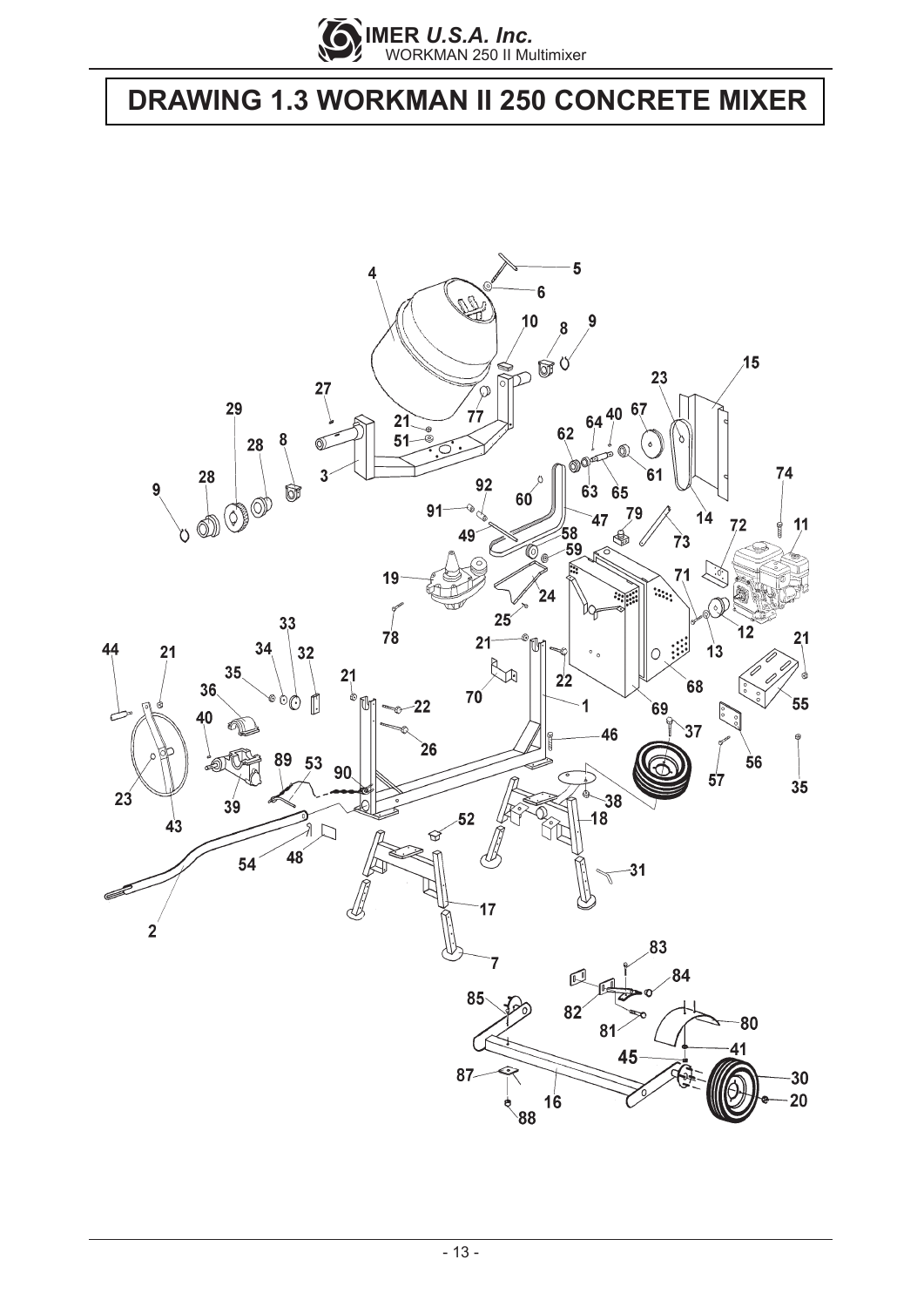

## **DRAWING 1.3 WORKMAN II 250 CONCRETE MIXER**

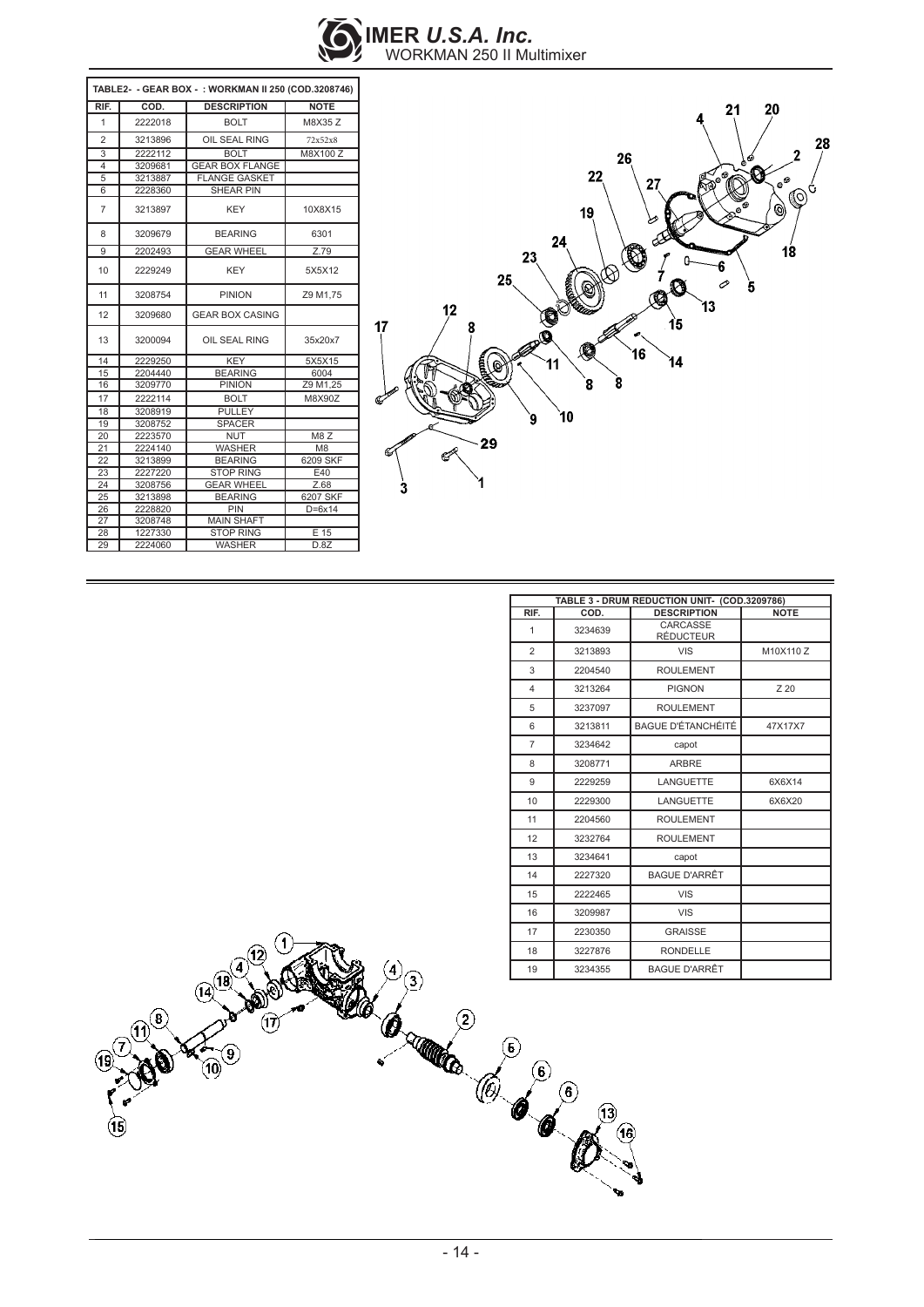

| TABLE2- - GEAR BOX - : WORKMAN II 250 (COD.3208746) |         |                        |                |
|-----------------------------------------------------|---------|------------------------|----------------|
| RIF.                                                | COD.    | <b>DESCRIPTION</b>     | <b>NOTE</b>    |
| 1                                                   | 2222018 | <b>BOLT</b>            | M8X35 Z        |
| $\overline{2}$                                      | 3213896 | OIL SEAL RING          | 72x52x8        |
| 3                                                   | 2222112 | <b>BOLT</b>            | M8X100 Z       |
| 4                                                   | 3209681 | <b>GEAR BOX FLANGE</b> |                |
| 5                                                   | 3213887 | <b>FLANGE GASKET</b>   |                |
| 6                                                   | 2228360 | <b>SHEAR PIN</b>       |                |
| $\overline{7}$                                      | 3213897 | <b>KEY</b>             | 10X8X15        |
| 8                                                   | 3209679 | <b>BEARING</b>         | 6301           |
| 9                                                   | 2202493 | <b>GEAR WHEEL</b>      | Z.79           |
| 10                                                  | 2229249 | <b>KEY</b>             | 5X5X12         |
| 11                                                  | 3208754 | <b>PINION</b>          | Z9 M1.75       |
| 12                                                  | 3209680 | <b>GEAR BOX CASING</b> |                |
| 13                                                  | 3200094 | OIL SEAL RING          | 35x20x7        |
| 14                                                  | 2229250 | <b>KEY</b>             | 5X5X15         |
| 15                                                  | 2204440 | <b>BEARING</b>         | 6004           |
| 16                                                  | 3209770 | <b>PINION</b>          | Z9 M1,25       |
| 17                                                  | 2222114 | <b>BOLT</b>            | M8X90Z         |
| 18                                                  | 3208919 | <b>PULLEY</b>          |                |
| 19                                                  | 3208752 | <b>SPACER</b>          |                |
| 20                                                  | 2223570 | <b>NUT</b>             | M8Z            |
| 21                                                  | 2224140 | <b>WASHER</b>          | M <sub>8</sub> |
| 22                                                  | 3213899 | <b>BEARING</b>         | 6209 SKF       |
| 23                                                  | 2227220 | <b>STOP RING</b>       | E40            |
| 24                                                  | 3208756 | <b>GEAR WHEEL</b>      | Z.68           |
| 25                                                  | 3213898 | <b>BEARING</b>         | 6207 SKF       |
| 26                                                  | 2228820 | PIN                    | $D=6x14$       |
| 27                                                  | 3208748 | <b>MAIN SHAFT</b>      |                |
| 28                                                  | 1227330 | <b>STOP RING</b>       | E 15           |
| 29                                                  | 2224060 | <b>WASHER</b>          | D.8Z           |



| TABLE 3 - DRUM REDUCTION UNIT- (COD.3209786) |         |                              |             |
|----------------------------------------------|---------|------------------------------|-------------|
| RIF.                                         | COD.    | <b>DESCRIPTION</b>           | <b>NOTE</b> |
| 1                                            | 3234639 | CARCASSE<br><b>RÉDUCTEUR</b> |             |
| 2                                            | 3213893 | <b>VIS</b>                   | M10X110 Z   |
| 3                                            | 2204540 | <b>ROULEMENT</b>             |             |
| 4                                            | 3213264 | <b>PIGNON</b>                | Z 20        |
| 5                                            | 3237097 | <b>ROULEMENT</b>             |             |
| 6                                            | 3213811 | <b>BAGUE D'ÉTANCHÉITÉ</b>    | 47X17X7     |
| $\overline{7}$                               | 3234642 | capot                        |             |
| 8                                            | 3208771 | <b>ARBRE</b>                 |             |
| 9                                            | 2229259 | <b>LANGUETTE</b>             | 6X6X14      |
| 10                                           | 2229300 | LANGUETTE                    | 6X6X20      |
| 11                                           | 2204560 | <b>ROULEMENT</b>             |             |
| 12                                           | 3232764 | <b>ROULEMENT</b>             |             |
| 13                                           | 3234641 | capot                        |             |
| 14                                           | 2227320 | <b>BAGUE D'ARRÊT</b>         |             |
| 15                                           | 2222465 | VIS                          |             |
| 16                                           | 3209987 | VIS                          |             |
| 17                                           | 2230350 | <b>GRAISSE</b>               |             |
| 18                                           | 3227876 | <b>RONDELLE</b>              |             |
| 19                                           | 3234355 | <b>BAGUE D'ARRÊT</b>         |             |